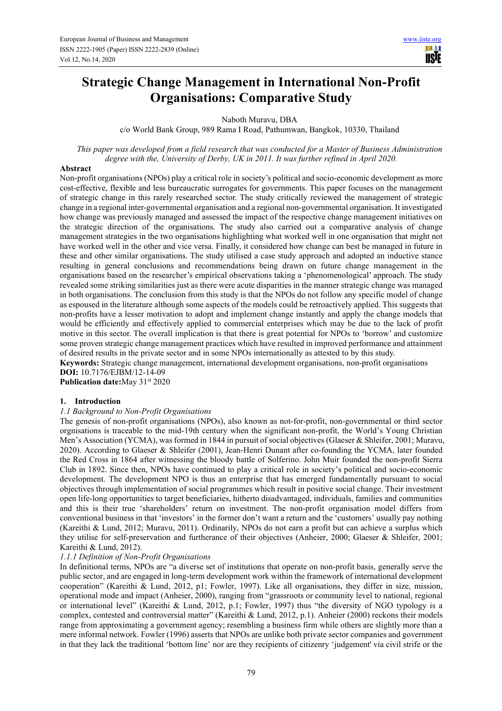# **Strategic Change Management in International Non-Profit Organisations: Comparative Study**

Naboth Muravu, DBA

c/o World Bank Group, 989 Rama I Road, Pathumwan, Bangkok, 10330, Thailand

*This paper was developed from a field research that was conducted for a Master of Business Administration degree with the, University of Derby, UK in 2011. It was further refined in April 2020.* 

#### **Abstract**

Non-profit organisations (NPOs) play a critical role in society's political and socio-economic development as more cost-effective, flexible and less bureaucratic surrogates for governments. This paper focuses on the management of strategic change in this rarely researched sector. The study critically reviewed the management of strategic change in a regional inter-governmental organisation and a regional non-governmental organisation. It investigated how change was previously managed and assessed the impact of the respective change management initiatives on the strategic direction of the organisations. The study also carried out a comparative analysis of change management strategies in the two organisations highlighting what worked well in one organisation that might not have worked well in the other and vice versa. Finally, it considered how change can best be managed in future in these and other similar organisations. The study utilised a case study approach and adopted an inductive stance resulting in general conclusions and recommendations being drawn on future change management in the organisations based on the researcher's empirical observations taking a 'phenomenological' approach. The study revealed some striking similarities just as there were acute disparities in the manner strategic change was managed in both organisations. The conclusion from this study is that the NPOs do not follow any specific model of change as espoused in the literature although some aspects of the models could be retroactively applied. This suggests that non-profits have a lesser motivation to adopt and implement change instantly and apply the change models that would be efficiently and effectively applied to commercial enterprises which may be due to the lack of profit motive in this sector. The overall implication is that there is great potential for NPOs to 'borrow' and customize some proven strategic change management practices which have resulted in improved performance and attainment of desired results in the private sector and in some NPOs internationally as attested to by this study.

**Keywords:** Strategic change management, international development organisations, non-profit organisations **DOI:** 10.7176/EJBM/12-14-09

Publication date: May 31<sup>st</sup> 2020

## **1. Introduction**

#### *1.1 Background to Non-Profit Organisations*

The genesis of non-profit organisations (NPOs), also known as not-for-profit, non-governmental or third sector orgnisations is traceable to the mid-19th century when the significant non-profit, the World's Young Christian Men's Association (YCMA), was formed in 1844 in pursuit of social objectives (Glaeser & Shleifer, 2001; Muravu, 2020). According to Glaeser & Shleifer (2001), Jean-Henri Dunant after co-founding the YCMA, later founded the Red Cross in 1864 after witnessing the bloody battle of Solferino. John Muir founded the non-profit Sierra Club in 1892. Since then, NPOs have continued to play a critical role in society's political and socio-economic development. The development NPO is thus an enterprise that has emerged fundamentally pursuant to social objectives through implementation of social programmes which result in positive social change. Their investment open life-long opportunities to target beneficiaries, hitherto disadvantaged, individuals, families and communities and this is their true 'shareholders' return on investment. The non-profit organisation model differs from conventional business in that 'investors' in the former don't want a return and the 'customers' usually pay nothing (Kareithi & Lund, 2012; Muravu, 2011). Ordinarily, NPOs do not earn a profit but can achieve a surplus which they utilise for self-preservation and furtherance of their objectives (Anheier, 2000; Glaeser & Shleifer, 2001; Kareithi & Lund, 2012).

#### *1.1.1 Definition of Non-Profit Organisations*

In definitional terms, NPOs are "a diverse set of institutions that operate on non-profit basis, generally serve the public sector, and are engaged in long-term development work within the framework of international development cooperation" (Kareithi & Lund, 2012, p1; Fowler, 1997). Like all organisations, they differ in size, mission, operational mode and impact (Anheier, 2000), ranging from "grassroots or community level to national, regional or international level" (Kareithi & Lund, 2012, p.1; Fowler, 1997) thus "the diversity of NGO typology is a complex, contested and controversial matter" (Kareithi & Lund, 2012, p.1). Anheier (2000) reckons their models range from approximating a government agency; resembling a business firm while others are slightly more than a mere informal network. Fowler (1996) asserts that NPOs are unlike both private sector companies and government in that they lack the traditional 'bottom line' nor are they recipients of citizenry 'judgement' via civil strife or the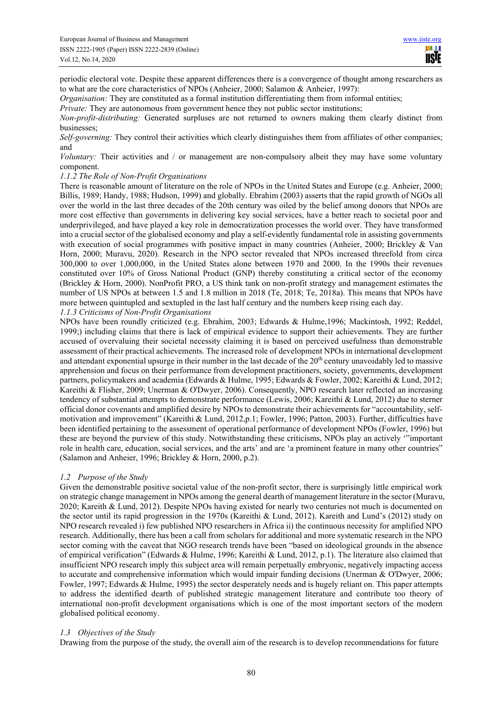periodic electoral vote. Despite these apparent differences there is a convergence of thought among researchers as to what are the core characteristics of NPOs (Anheier, 2000; Salamon & Anheier, 1997):

*Organisation:* They are constituted as a formal institution differentiating them from informal entities;

*Private:* They are autonomous from government hence they not public sector institutions;

*Non-profit-distributing:* Generated surpluses are not returned to owners making them clearly distinct from businesses;

*Self-governing:* They control their activities which clearly distinguishes them from affiliates of other companies; and

*Voluntary:* Their activities and / or management are non-compulsory albeit they may have some voluntary component.

#### *1.1.2 The Role of Non-Profit Organisations*

There is reasonable amount of literature on the role of NPOs in the United States and Europe (e.g. Anheier, 2000; Billis, 1989; Handy, 1988; Hudson, 1999) and globally. Ebrahim (2003) asserts that the rapid growth of NGOs all over the world in the last three decades of the 20th century was oiled by the belief among donors that NPOs are more cost effective than governments in delivering key social services, have a better reach to societal poor and underprivileged, and have played a key role in democratization processes the world over. They have transformed into a crucial sector of the globalised economy and play a self-evidently fundamental role in assisting governments with execution of social programmes with positive impact in many countries (Anheier, 2000; Brickley & Van Horn, 2000; Muravu, 2020). Research in the NPO sector revealed that NPOs increased threefold from circa 300,000 to over 1,000,000, in the United States alone between 1970 and 2000. In the 1990s their revenues constituted over 10% of Gross National Product (GNP) thereby constituting a critical sector of the economy (Brickley & Horn, 2000). NonProfit PRO, a US think tank on non-profit strategy and management estimates the number of US NPOs at between 1.5 and 1.8 million in 2018 (Te, 2018; Te, 2018a). This means that NPOs have more between quintupled and sextupled in the last half century and the numbers keep rising each day. *1.1.3 Criticisms of Non-Profit Organisations* 

NPOs have been roundly criticized (e.g. Ebrahim, 2003; Edwards & Hulme,1996; Mackintosh, 1992; Reddel, 1999;) including claims that there is lack of empirical evidence to support their achievements. They are further accused of overvaluing their societal necessity claiming it is based on perceived usefulness than demonstrable assessment of their practical achievements. The increased role of development NPOs in international development and attendant exponential upsurge in their number in the last decade of the 20<sup>th</sup> century unavoidably led to massive apprehension and focus on their performance from development practitioners, society, governments, development partners, policymakers and academia (Edwards & Hulme, 1995; Edwards & Fowler, 2002; Kareithi & Lund, 2012; Kareithi & Flisher, 2009; Unerman & O'Dwyer, 2006). Consequently, NPO research later reflected an increasing tendency of substantial attempts to demonstrate performance (Lewis, 2006; Kareithi & Lund, 2012) due to sterner official donor covenants and amplified desire by NPOs to demonstrate their achievements for "accountability, selfmotivation and improvement" (Kareithi & Lund, 2012,p.1; Fowler, 1996; Patton, 2003). Further, difficulties have been identified pertaining to the assessment of operational performance of development NPOs (Fowler, 1996) but these are beyond the purview of this study. Notwithstanding these criticisms, NPOs play an actively '"important role in health care, education, social services, and the arts' and are 'a prominent feature in many other countries" (Salamon and Anheier, 1996; Brickley & Horn, 2000, p.2).

## *1.2 Purpose of the Study*

Given the demonstrable positive societal value of the non-profit sector, there is surprisingly little empirical work on strategic change management in NPOs among the general dearth of management literature in the sector (Muravu, 2020; Kareith & Lund, 2012). Despite NPOs having existed for nearly two centuries not much is documented on the sector until its rapid progression in the 1970s (Kareithi & Lund, 2012). Kareith and Lund's (2012) study on NPO research revealed i) few published NPO researchers in Africa ii) the continuous necessity for amplified NPO research. Additionally, there has been a call from scholars for additional and more systematic research in the NPO sector coming with the caveat that NGO research trends have been "based on ideological grounds in the absence of empirical verification" (Edwards & Hulme, 1996; Kareithi & Lund, 2012, p.1). The literature also claimed that insufficient NPO research imply this subject area will remain perpetually embryonic, negatively impacting access to accurate and comprehensive information which would impair funding decisions (Unerman & O'Dwyer, 2006; Fowler, 1997; Edwards & Hulme, 1995) the sector desperately needs and is hugely reliant on. This paper attempts to address the identified dearth of published strategic management literature and contribute too theory of international non-profit development organisations which is one of the most important sectors of the modern globalised political economy.

## *1.3 Objectives of the Study*

Drawing from the purpose of the study, the overall aim of the research is to develop recommendations for future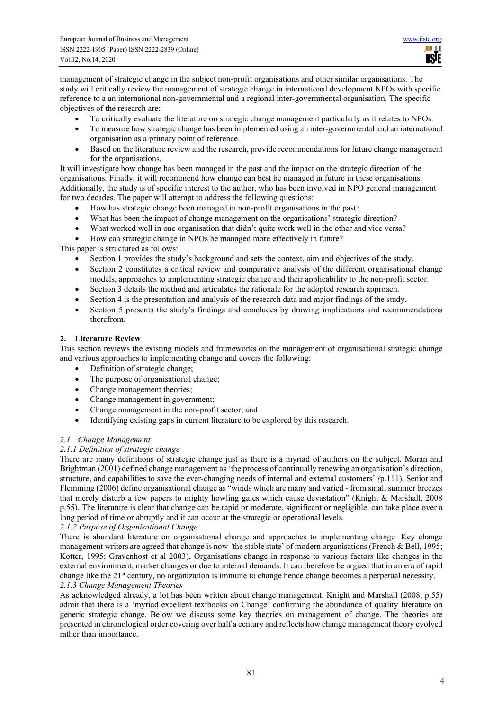management of strategic change in the subject non-profit organisations and other similar organisations. The study will critically review the management of strategic change in international development NPOs with specific reference to a an international non-governmental and a regional inter-governmental organisation. The specific objectives of the research are:

- To critically evaluate the literature on strategic change management particularly as it relates to NPOs.
- To measure how strategic change has been implemented using an inter-governmental and an international organisation as a primary point of reference.
- Based on the literature review and the research, provide recommendations for future change management for the organisations.

It will investigate how change has been managed in the past and the impact on the strategic direction of the organisations. Finally, it will recommend how change can best be managed in future in these organisations. Additionally, the study is of specific interest to the author, who has been involved in NPO general management for two decades. The paper will attempt to address the following questions:

- How has strategic change been managed in non-profit organisations in the past?
- What has been the impact of change management on the organisations' strategic direction?
- What worked well in one organisation that didn't quite work well in the other and vice versa?
- How can strategic change in NPOs be managed more effectively in future?

This paper is structured as follows:

- Section 1 provides the study's background and sets the context, aim and objectives of the study.
- Section 2 constitutes a critical review and comparative analysis of the different organisational change models, approaches to implementing strategic change and their applicability to the non-profit sector.
- Section 3 details the method and articulates the rationale for the adopted research approach.
- Section 4 is the presentation and analysis of the research data and major findings of the study.
- Section 5 presents the study's findings and concludes by drawing implications and recommendations therefrom.

# **2. Literature Review**

This section reviews the existing models and frameworks on the management of organisational strategic change and various approaches to implementing change and covers the following:

- Definition of strategic change;
- The purpose of organisational change;
- Change management theories;
- Change management in government;
- Change management in the non-profit sector; and
- Identifying existing gaps in current literature to be explored by this research.

## *2.1 Change Management*

## *2.1.1 Definition of strategic change*

There are many definitions of strategic change just as there is a myriad of authors on the subject. Moran and Brightman (2001) defined change management as 'the process of continually renewing an organisation's direction, structure, and capabilities to save the ever-changing needs of internal and external customers' *(*p.111)*.* Senior and Flemming (2006) define organisational change as "winds which are many and varied - from small summer breezes that merely disturb a few papers to mighty howling gales which cause devastation" (Knight & Marshall, 2008 p.55). The literature is clear that change can be rapid or moderate, significant or negligible, can take place over a long period of time or abruptly and it can occur at the strategic or operational levels.

## *2.1.2 Purpose of Organisational Change*

There is abundant literature on organisational change and approaches to implementing change. Key change management writers are agreed that change is now *'*the stable state' of modern organisations (French & Bell, 1995; Kotter, 1995; Gravenhost et al 2003). Organisations change in response to various factors like changes in the external environment, market changes or due to internal demands. It can therefore be argued that in an era of rapid change like the 21<sup>st</sup> century, no organization is immune to change hence change becomes a perpetual necessity. *2.1.3 Change Management Theories* 

As acknowledged already, a lot has been written about change management. Knight and Marshall (2008, p.55) admit that there is a 'myriad excellent textbooks on Change' confirming the abundance of quality literature on generic strategic change. Below we discuss some key theories on management of change. The theories are presented in chronological order covering over half a century and reflects how change management theory evolved rather than importance.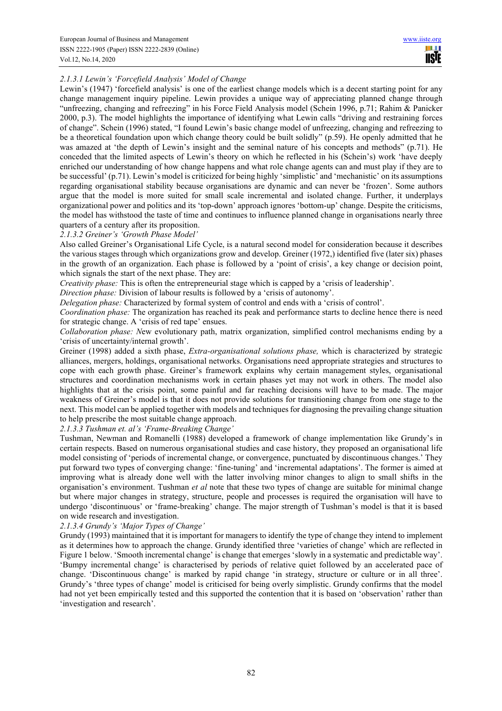# *2.1.3.1 Lewin's 'Forcefield Analysis' Model of Change*

Lewin's (1947) 'forcefield analysis' is one of the earliest change models which is a decent starting point for any change management inquiry pipeline. Lewin provides a unique way of appreciating planned change through "unfreezing, changing and refreezing" in his Force Field Analysis model (Schein 1996, p.71; Rahim & Panicker 2000, p.3). The model highlights the importance of identifying what Lewin calls "driving and restraining forces of change". Schein (1996) stated, "I found Lewin's basic change model of unfreezing, changing and refreezing to be a theoretical foundation upon which change theory could be built solidly" (p.59). He openly admitted that he was amazed at 'the depth of Lewin's insight and the seminal nature of his concepts and methods" (p.71). He conceded that the limited aspects of Lewin's theory on which he reflected in his (Schein's) work 'have deeply enriched our understanding of how change happens and what role change agents can and must play if they are to be successful' (p.71). Lewin's model is criticized for being highly 'simplistic' and 'mechanistic' on its assumptions regarding organisational stability because organisations are dynamic and can never be 'frozen'. Some authors argue that the model is more suited for small scale incremental and isolated change. Further, it underplays organizational power and politics and its 'top-down' approach ignores 'bottom‐up' change. Despite the criticisms, the model has withstood the taste of time and continues to influence planned change in organisations nearly three quarters of a century after its proposition.

#### *2.1.3.2 Greiner's 'Growth Phase Model'*

Also called Greiner's Organisational Life Cycle, is a natural second model for consideration because it describes the various stages through which organizations grow and develop. Greiner (1972,) identified five (later six) phases in the growth of an organization. Each phase is followed by a 'point of crisis', a key change or decision point, which signals the start of the next phase. They are:

*Creativity phase:* This is often the entrepreneurial stage which is capped by a 'crisis of leadership'.

*Direction phase:* Division of labour results is followed by a 'crisis of autonomy'.

*Delegation phase:* Characterized by formal system of control and ends with a 'crisis of control'.

*Coordination phase:* The organization has reached its peak and performance starts to decline hence there is need for strategic change. A 'crisis of red tape' ensues.

*Collaboration phase: N*ew evolutionary path, matrix organization, simplified control mechanisms ending by a 'crisis of uncertainty/internal growth'.

Greiner (1998) added a sixth phase, *Extra-organisational solutions phase,* which is characterized by strategic alliances, mergers, holdings, organisational networks. Organisations need appropriate strategies and structures to cope with each growth phase. Greiner's framework explains why certain management styles, organisational structures and coordination mechanisms work in certain phases yet may not work in others. The model also highlights that at the crisis point, some painful and far reaching decisions will have to be made. The major weakness of Greiner's model is that it does not provide solutions for transitioning change from one stage to the next. This model can be applied together with models and techniques for diagnosing the prevailing change situation to help prescribe the most suitable change approach.

*2.1.3.3 Tushman et. al's 'Frame-Breaking Change'* 

Tushman, Newman and Romanelli (1988) developed a framework of change implementation like Grundy's in certain respects. Based on numerous organisational studies and case history, they proposed an organisational life model consisting of 'periods of incremental change, or convergence, punctuated by discontinuous changes.' They put forward two types of converging change: 'fine-tuning' and 'incremental adaptations'. The former is aimed at improving what is already done well with the latter involving minor changes to align to small shifts in the organisation's environment. Tushman *et al* note that these two types of change are suitable for minimal change but where major changes in strategy, structure, people and processes is required the organisation will have to undergo 'discontinuous' or 'frame-breaking' change. The major strength of Tushman's model is that it is based on wide research and investigation.

## *2.1.3.4 Grundy's 'Major Types of Change'*

Grundy (1993) maintained that it is important for managers to identify the type of change they intend to implement as it determines how to approach the change. Grundy identified three 'varieties of change' which are reflected in Figure 1 below. 'Smooth incremental change' is change that emerges 'slowly in a systematic and predictable way'. 'Bumpy incremental change' is characterised by periods of relative quiet followed by an accelerated pace of change. 'Discontinuous change' is marked by rapid change 'in strategy, structure or culture or in all three'. Grundy's 'three types of change' model is criticised for being overly simplistic. Grundy confirms that the model had not yet been empirically tested and this supported the contention that it is based on 'observation' rather than 'investigation and research'.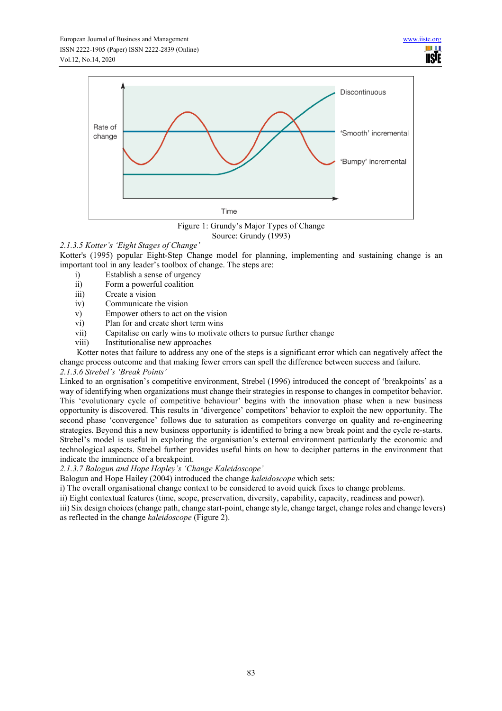

Figure 1: Grundy's Major Types of Change Source: Grundy (1993)

# *2.1.3.5 Kotter's 'Eight Stages of Change'*

Kotter's (1995) popular Eight-Step Change model for planning, implementing and sustaining change is an important tool in any leader's toolbox of change. The steps are:

- i) Establish a sense of urgency
- ii) Form a powerful coalition
- iii) Create a vision
- iv) Communicate the vision
- v) Empower others to act on the vision
- vi) Plan for and create short term wins
- vii) Capitalise on early wins to motivate others to pursue further change
- viii) Institutionalise new approaches

Kotter notes that failure to address any one of the steps is a significant error which can negatively affect the change process outcome and that making fewer errors can spell the difference between success and failure.

# *2.1.3.6 Strebel's 'Break Points'*

Linked to an orgnisation's competitive environment, Strebel (1996) introduced the concept of 'breakpoints' as a way of identifying when organizations must change their strategies in response to changes in competitor behavior. This 'evolutionary cycle of competitive behaviour' begins with the innovation phase when a new business opportunity is discovered. This results in 'divergence' competitors' behavior to exploit the new opportunity. The second phase 'convergence' follows due to saturation as competitors converge on quality and re-engineering strategies. Beyond this a new business opportunity is identified to bring a new break point and the cycle re-starts. Strebel's model is useful in exploring the organisation's external environment particularly the economic and technological aspects. Strebel further provides useful hints on how to decipher patterns in the environment that indicate the imminence of a breakpoint.

## *2.1.3.7 Balogun and Hope Hopley's 'Change Kaleidoscope'*

Balogun and Hope Hailey (2004) introduced the change *kaleidoscope* which sets:

i) The overall organisational change context to be considered to avoid quick fixes to change problems.

ii) Eight contextual features (time, scope, preservation, diversity, capability, capacity, readiness and power).

iii) Six design choices (change path, change start-point, change style, change target, change roles and change levers) as reflected in the change *kaleidoscope* (Figure 2).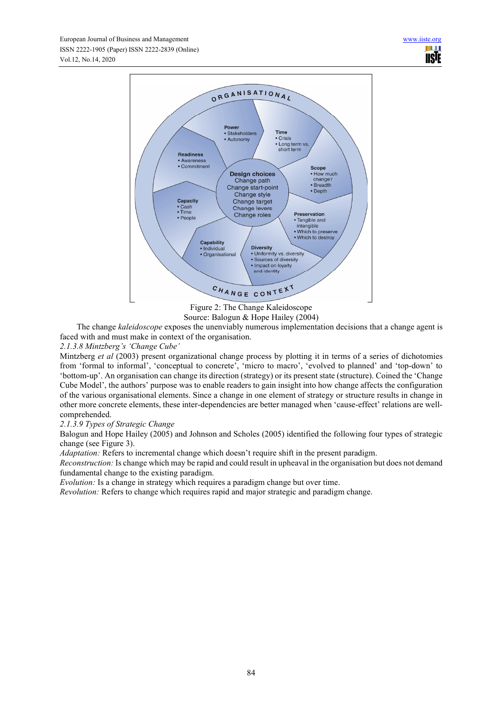

Figure 2: The Change Kaleidoscope Source: Balogun & Hope Hailey (2004)

The change *kaleidoscope* exposes the unenviably numerous implementation decisions that a change agent is faced with and must make in context of the organisation.

# *2.1.3.8 Mintzberg's 'Change Cube'*

Mintzberg *et al* (2003) present organizational change process by plotting it in terms of a series of dichotomies from 'formal to informal', 'conceptual to concrete', 'micro to macro', 'evolved to planned' and 'top-down' to 'bottom-up'. An organisation can change its direction (strategy) or its present state (structure). Coined the 'Change Cube Model', the authors' purpose was to enable readers to gain insight into how change affects the configuration of the various organisational elements. Since a change in one element of strategy or structure results in change in other more concrete elements, these inter-dependencies are better managed when 'cause-effect' relations are wellcomprehended.

## *2.1.3.9 Types of Strategic Change*

Balogun and Hope Hailey (2005) and Johnson and Scholes (2005) identified the following four types of strategic change (see Figure 3).

*Adaptation:* Refers to incremental change which doesn't require shift in the present paradigm.

*Reconstruction:* Is change which may be rapid and could result in upheaval in the organisation but does not demand fundamental change to the existing paradigm.

*Evolution:* Is a change in strategy which requires a paradigm change but over time.

*Revolution:* Refers to change which requires rapid and major strategic and paradigm change.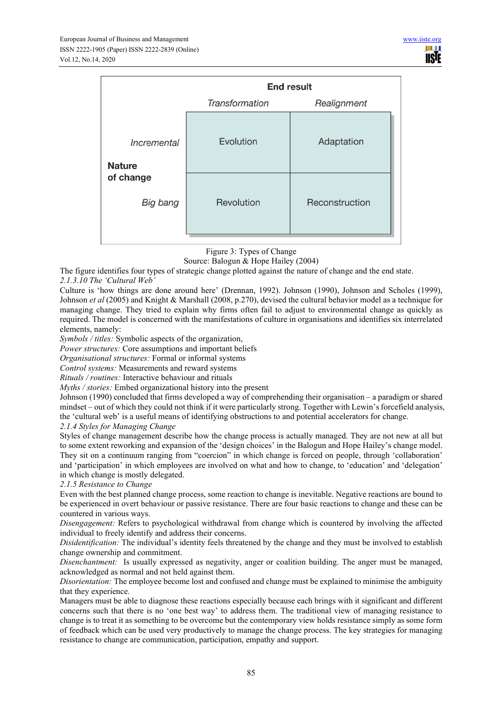|                              | <b>End result</b> |                |  |  |  |
|------------------------------|-------------------|----------------|--|--|--|
|                              | Transformation    | Realignment    |  |  |  |
| Incremental<br><b>Nature</b> | Evolution         | Adaptation     |  |  |  |
| of change<br>Big bang        | Revolution        | Reconstruction |  |  |  |

Figure 3: Types of Change

Source: Balogun & Hope Hailey (2004)

The figure identifies four types of strategic change plotted against the nature of change and the end state.

## *2.1.3.10 The 'Cultural Web'*

Culture is 'how things are done around here' (Drennan, 1992). Johnson (1990), Johnson and Scholes (1999), Johnson *et al* (2005) and Knight & Marshall (2008, p.270), devised the cultural behavior model as a technique for managing change. They tried to explain why firms often fail to adjust to environmental change as quickly as required. The model is concerned with the manifestations of culture in organisations and identifies six interrelated elements, namely:

*Symbols / titles:* Symbolic aspects of the organization,

*Power structures:* Core assumptions and important beliefs

*Organisational structures:* Formal or informal systems

*Control systems:* Measurements and reward systems

*Rituals / routines:* Interactive behaviour and rituals

*Myths / stories:* Embed organizational history into the present

Johnson (1990) concluded that firms developed a way of comprehending their organisation – a paradigm or shared mindset – out of which they could not think if it were particularly strong. Together with Lewin's forcefield analysis, the 'cultural web' is a useful means of identifying obstructions to and potential accelerators for change.

#### *2.1.4 Styles for Managing Change*

Styles of change management describe how the change process is actually managed. They are not new at all but to some extent reworking and expansion of the 'design choices' in the Balogun and Hope Hailey's change model. They sit on a continuum ranging from "coercion" in which change is forced on people, through 'collaboration' and 'participation' in which employees are involved on what and how to change, to 'education' and 'delegation' in which change is mostly delegated.

*2.1.5 Resistance to Change* 

Even with the best planned change process, some reaction to change is inevitable. Negative reactions are bound to be experienced in overt behaviour or passive resistance. There are four basic reactions to change and these can be countered in various ways.

*Disengagement:* Refers to psychological withdrawal from change which is countered by involving the affected individual to freely identify and address their concerns.

*Disidentification:* The individual's identity feels threatened by the change and they must be involved to establish change ownership and commitment.

*Disenchantment:* Is usually expressed as negativity, anger or coalition building. The anger must be managed, acknowledged as normal and not held against them.

*Disorientation:* The employee become lost and confused and change must be explained to minimise the ambiguity that they experience.

Managers must be able to diagnose these reactions especially because each brings with it significant and different concerns such that there is no 'one best way' to address them. The traditional view of managing resistance to change is to treat it as something to be overcome but the contemporary view holds resistance simply as some form of feedback which can be used very productively to manage the change process. The key strategies for managing resistance to change are communication, participation, empathy and support.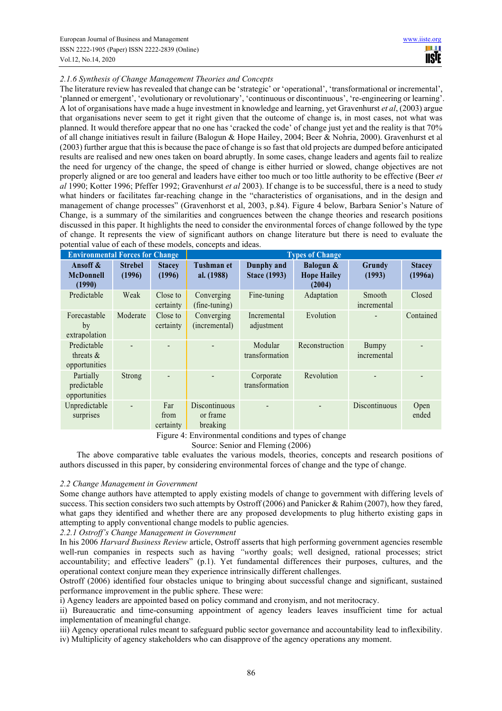# *2.1.6 Synthesis of Change Management Theories and Concepts*

The literature review has revealed that change can be 'strategic' or 'operational', 'transformational or incremental', 'planned or emergent', 'evolutionary or revolutionary', 'continuous or discontinuous', 're-engineering or learning'. A lot of organisations have made a huge investment in knowledge and learning, yet Gravenhurst *et al*, (2003) argue that organisations never seem to get it right given that the outcome of change is, in most cases, not what was planned. It would therefore appear that no one has 'cracked the code' of change just yet and the reality is that 70% of all change initiatives result in failure (Balogun & Hope Hailey, 2004; Beer & Nohria, 2000). Gravenhurst et al (2003) further argue that this is because the pace of change is so fast that old projects are dumped before anticipated results are realised and new ones taken on board abruptly. In some cases, change leaders and agents fail to realize the need for urgency of the change, the speed of change is either hurried or slowed, change objectives are not properly aligned or are too general and leaders have either too much or too little authority to be effective (Beer *et al* 1990; Kotter 1996; Pfeffer 1992; Gravenhurst *et al* 2003). If change is to be successful, there is a need to study what hinders or facilitates far-reaching change in the "characteristics of organisations, and in the design and management of change processes" (Gravenhorst et al, 2003, p.84). Figure 4 below, Barbara Senior's Nature of Change, is a summary of the similarities and congruences between the change theories and research positions discussed in this paper. It highlights the need to consider the environmental forces of change followed by the type of change. It represents the view of significant authors on change literature but there is need to evaluate the potential value of each of these models, concepts and ideas.

| <b>Environmental Forces for Change</b>       |                          | <b>Types of Change</b>         |                                                                                                                                                                                                                                                                                           |                                   |                                           |                       |                          |
|----------------------------------------------|--------------------------|--------------------------------|-------------------------------------------------------------------------------------------------------------------------------------------------------------------------------------------------------------------------------------------------------------------------------------------|-----------------------------------|-------------------------------------------|-----------------------|--------------------------|
| Ansoff &<br><b>McDonnell</b><br>(1990)       | <b>Strebel</b><br>(1996) | <b>Stacey</b><br>(1996)        | <b>Tushman et</b><br>al. (1988)                                                                                                                                                                                                                                                           | Dunphy and<br><b>Stace (1993)</b> | Balogun &<br><b>Hope Hailey</b><br>(2004) | Grundy<br>(1993)      | <b>Stacey</b><br>(1996a) |
| Predictable                                  | Weak                     | Close to<br>certainty          | Converging<br>$(\text{fine-tuning})$                                                                                                                                                                                                                                                      | Fine-tuning                       | Adaptation                                | Smooth<br>incremental | Closed                   |
| Forecastable<br>by<br>extrapolation          | Moderate                 | Close to<br>certainty          | Converging<br>(incremental)                                                                                                                                                                                                                                                               | Incremental<br>adjustment         | Evolution                                 |                       | Contained                |
| Predictable<br>threats $\&$<br>opportunities |                          |                                |                                                                                                                                                                                                                                                                                           | Modular<br>transformation         | Reconstruction                            | Bumpy<br>incremental  |                          |
| Partially<br>predictable<br>opportunities    | Strong                   |                                |                                                                                                                                                                                                                                                                                           | Corporate<br>transformation       | Revolution                                |                       |                          |
| Unpredictable<br>surprises                   |                          | Far<br>from<br>certainty<br>÷- | Discontinuous<br>or frame<br>breaking<br>$\bullet$ . The contract of the contract of the contract of the contract of the contract of the contract of the contract of the contract of the contract of the contract of the contract of the contract of the contract of the co<br>$\sqrt{1}$ | 1.1.1<br>1.1                      | $\sim$ 1                                  | Discontinuous         | Open<br>ended            |

Figure 4: Environmental conditions and types of change

Source: Senior and Fleming (2006)

The above comparative table evaluates the various models, theories, concepts and research positions of authors discussed in this paper, by considering environmental forces of change and the type of change.

#### *2.2 Change Management in Government*

Some change authors have attempted to apply existing models of change to government with differing levels of success. This section considers two such attempts by Ostroff (2006) and Panicker & Rahim (2007), how they fared, what gaps they identified and whether there are any proposed developments to plug hitherto existing gaps in attempting to apply conventional change models to public agencies.

*2.2.1 Ostroff's Change Management in Government* 

In his 2006 *Harvard Business Review* article, Ostroff asserts that high performing government agencies resemble well-run companies in respects such as having *"w*orthy goals; well designed, rational processes; strict accountability; and effective leaders" (p.1). Yet fundamental differences their purposes, cultures, and the operational context conjure mean they experience intrinsically different challenges.

Ostroff (2006) identified four obstacles unique to bringing about successful change and significant, sustained performance improvement in the public sphere. These were:

i) Agency leaders are appointed based on policy command and cronyism, and not meritocracy.

ii) Bureaucratic and time-consuming appointment of agency leaders leaves insufficient time for actual implementation of meaningful change.

iii) Agency operational rules meant to safeguard public sector governance and accountability lead to inflexibility. iv) Multiplicity of agency stakeholders who can disapprove of the agency operations any moment.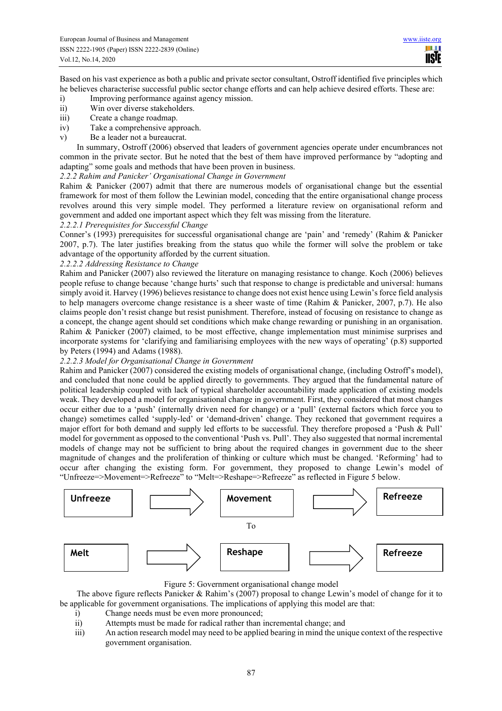Based on his vast experience as both a public and private sector consultant, Ostroff identified five principles which he believes characterise successful public sector change efforts and can help achieve desired efforts. These are:

- i) Improving performance against agency mission.
- ii) Win over diverse stakeholders.
- iii) Create a change roadmap.
- iv) Take a comprehensive approach.
- v) Be a leader not a bureaucrat.

In summary, Ostroff (2006) observed that leaders of government agencies operate under encumbrances not common in the private sector. But he noted that the best of them have improved performance by "adopting and adapting" some goals and methods that have been proven in business.

*2.2.2 Rahim and Panicker' Organisational Change in Government* 

Rahim & Panicker (2007) admit that there are numerous models of organisational change but the essential framework for most of them follow the Lewinian model, conceding that the entire organisational change process revolves around this very simple model. They performed a literature review on organisational reform and government and added one important aspect which they felt was missing from the literature.

# *2.2.2.1 Prerequisites for Successful Change*

Conner's (1993) prerequisites for successful organisational change are 'pain' and 'remedy' (Rahim & Panicker 2007, p.7). The later justifies breaking from the status quo while the former will solve the problem or take advantage of the opportunity afforded by the current situation.

*2.2.2.2 Addressing Resistance to Change* 

Rahim and Panicker (2007) also reviewed the literature on managing resistance to change. Koch (2006) believes people refuse to change because 'change hurts' such that response to change is predictable and universal: humans simply avoid it. Harvey (1996) believes resistance to change does not exist hence using Lewin's force field analysis to help managers overcome change resistance is a sheer waste of time (Rahim & Panicker, 2007, p.7). He also claims people don't resist change but resist punishment. Therefore, instead of focusing on resistance to change as a concept, the change agent should set conditions which make change rewarding or punishing in an organisation. Rahim & Panicker (2007) claimed, to be most effective, change implementation must minimise surprises and incorporate systems for 'clarifying and familiarising employees with the new ways of operating' (p.8) supported by Peters (1994) and Adams (1988).

## *2.2.2.3 Model for Organisational Change in Government*

Rahim and Panicker (2007) considered the existing models of organisational change, (including Ostroff's model), and concluded that none could be applied directly to governments. They argued that the fundamental nature of political leadership coupled with lack of typical shareholder accountability made application of existing models weak. They developed a model for organisational change in government. First, they considered that most changes occur either due to a 'push' (internally driven need for change) or a 'pull' (external factors which force you to change) sometimes called 'supply-led' or 'demand-driven' change. They reckoned that government requires a major effort for both demand and supply led efforts to be successful. They therefore proposed a 'Push & Pull' model for government as opposed to the conventional 'Push vs. Pull'. They also suggested that normal incremental models of change may not be sufficient to bring about the required changes in government due to the sheer magnitude of changes and the proliferation of thinking or culture which must be changed. 'Reforming' had to occur after changing the existing form. For government, they proposed to change Lewin's model of "Unfreeze=>Movement=>Refreeze" to "Melt=>Reshape=>Refreeze" as reflected in Figure 5 below.





The above figure reflects Panicker & Rahim's (2007) proposal to change Lewin's model of change for it to be applicable for government organisations. The implications of applying this model are that:

- i) Change needs must be even more pronounced;
- ii) Attempts must be made for radical rather than incremental change; and
- iii) An action research model may need to be applied bearing in mind the unique context of the respective government organisation.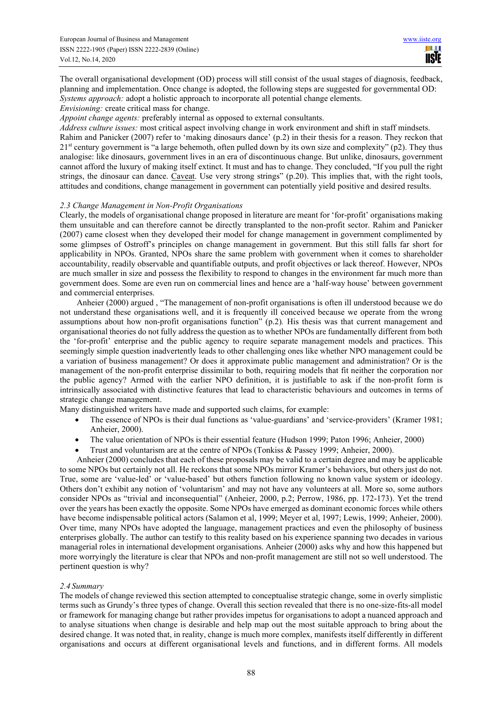The overall organisational development (OD) process will still consist of the usual stages of diagnosis, feedback, planning and implementation. Once change is adopted, the following steps are suggested for governmental OD: *Systems approach:* adopt a holistic approach to incorporate all potential change elements.

*Envisioning:* create critical mass for change.

*Appoint change agents:* preferably internal as opposed to external consultants.

*Address culture issues:* most critical aspect involving change in work environment and shift in staff mindsets.

Rahim and Panicker (2007) refer to 'making dinosaurs dance' (p.2) in their thesis for a reason. They reckon that 21<sup>st</sup> century government is "a large behemoth, often pulled down by its own size and complexity" (p2). They thus analogise: like dinosaurs, government lives in an era of discontinuous change. But unlike, dinosaurs, government cannot afford the luxury of making itself extinct. It must and has to change. They concluded, "If you pull the right strings, the dinosaur can dance. Caveat. Use very strong strings" (p.20). This implies that, with the right tools, attitudes and conditions, change management in government can potentially yield positive and desired results.

#### *2.3 Change Management in Non-Profit Organisations*

Clearly, the models of organisational change proposed in literature are meant for 'for-profit' organisations making them unsuitable and can therefore cannot be directly transplanted to the non-profit sector. Rahim and Panicker (2007) came closest when they developed their model for change management in government complimented by some glimpses of Ostroff's principles on change management in government. But this still falls far short for applicability in NPOs. Granted, NPOs share the same problem with government when it comes to shareholder accountability, readily observable and quantifiable outputs, and profit objectives or lack thereof. However, NPOs are much smaller in size and possess the flexibility to respond to changes in the environment far much more than government does. Some are even run on commercial lines and hence are a 'half-way house' between government and commercial enterprises.

Anheier (2000) argued , "The management of non-profit organisations is often ill understood because we do not understand these organisations well, and it is frequently ill conceived because we operate from the wrong assumptions about how non-profit organisations function" (p.2)*.* His thesis was that current management and organisational theories do not fully address the question as to whether NPOs are fundamentally different from both the 'for-profit' enterprise and the public agency to require separate management models and practices. This seemingly simple question inadvertently leads to other challenging ones like whether NPO management could be a variation of business management? Or does it approximate public management and administration? Or is the management of the non-profit enterprise dissimilar to both, requiring models that fit neither the corporation nor the public agency? Armed with the earlier NPO definition, it is justifiable to ask if the non-profit form is intrinsically associated with distinctive features that lead to characteristic behaviours and outcomes in terms of strategic change management.

Many distinguished writers have made and supported such claims, for example:

- The essence of NPOs is their dual functions as 'value-guardians' and 'service-providers' (Kramer 1981; Anheier, 2000).
- The value orientation of NPOs is their essential feature (Hudson 1999; Paton 1996; Anheier, 2000)
- Trust and voluntarism are at the centre of NPOs (Tonkiss & Passey 1999; Anheier, 2000).

Anheier (2000) concludes that each of these proposals may be valid to a certain degree and may be applicable to some NPOs but certainly not all. He reckons that some NPOs mirror Kramer's behaviors, but others just do not. True, some are 'value-led' or 'value-based' but others function following no known value system or ideology. Others don't exhibit any notion of 'voluntarism' and may not have any volunteers at all. More so, some authors consider NPOs as "trivial and inconsequential" (Anheier, 2000, p.2; Perrow, 1986, pp. 172-173). Yet the trend over the years has been exactly the opposite. Some NPOs have emerged as dominant economic forces while others have become indispensable political actors (Salamon et al, 1999; Meyer et al, 1997; Lewis, 1999; Anheier, 2000). Over time, many NPOs have adopted the language, management practices and even the philosophy of business enterprises globally. The author can testify to this reality based on his experience spanning two decades in various managerial roles in international development organisations. Anheier (2000) asks why and how this happened but more worryingly the literature is clear that NPOs and non-profit management are still not so well understood. The pertinent question is why?

## *2.4 Summary*

The models of change reviewed this section attempted to conceptualise strategic change, some in overly simplistic terms such as Grundy's three types of change. Overall this section revealed that there is no one-size-fits-all model or framework for managing change but rather provides impetus for organisations to adopt a nuanced approach and to analyse situations when change is desirable and help map out the most suitable approach to bring about the desired change. It was noted that, in reality, change is much more complex, manifests itself differently in different organisations and occurs at different organisational levels and functions, and in different forms. All models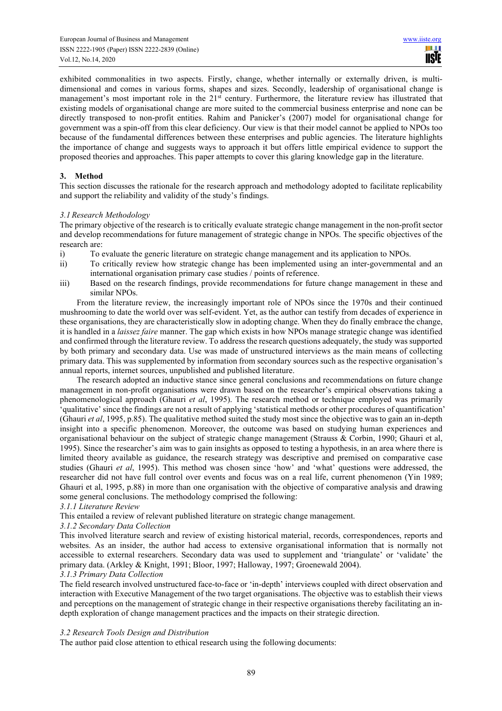exhibited commonalities in two aspects. Firstly, change, whether internally or externally driven, is multidimensional and comes in various forms, shapes and sizes. Secondly, leadership of organisational change is management's most important role in the 21<sup>st</sup> century. Furthermore, the literature review has illustrated that existing models of organisational change are more suited to the commercial business enterprise and none can be directly transposed to non-profit entities. Rahim and Panicker's (2007) model for organisational change for government was a spin-off from this clear deficiency. Our view is that their model cannot be applied to NPOs too because of the fundamental differences between these enterprises and public agencies. The literature highlights the importance of change and suggests ways to approach it but offers little empirical evidence to support the proposed theories and approaches. This paper attempts to cover this glaring knowledge gap in the literature.

## **3. Method**

This section discusses the rationale for the research approach and methodology adopted to facilitate replicability and support the reliability and validity of the study's findings.

## *3.1 Research Methodology*

The primary objective of the research is to critically evaluate strategic change management in the non-profit sector and develop recommendations for future management of strategic change in NPOs. The specific objectives of the research are:

- i) To evaluate the generic literature on strategic change management and its application to NPOs.
- ii) To critically review how strategic change has been implemented using an inter-governmental and an international organisation primary case studies / points of reference.
- iii) Based on the research findings, provide recommendations for future change management in these and similar NPOs.

From the literature review, the increasingly important role of NPOs since the 1970s and their continued mushrooming to date the world over was self-evident. Yet, as the author can testify from decades of experience in these organisations, they are characteristically slow in adopting change. When they do finally embrace the change, it is handled in a *laissez faire* manner. The gap which exists in how NPOs manage strategic change was identified and confirmed through the literature review. To address the research questions adequately, the study was supported by both primary and secondary data. Use was made of unstructured interviews as the main means of collecting primary data. This was supplemented by information from secondary sources such as the respective organisation's annual reports, internet sources, unpublished and published literature.

The research adopted an inductive stance since general conclusions and recommendations on future change management in non-profit organisations were drawn based on the researcher's empirical observations taking a phenomenological approach (Ghauri *et al*, 1995). The research method or technique employed was primarily 'qualitative' since the findings are not a result of applying 'statistical methods or other procedures of quantification' (Ghauri *et al*, 1995, p.85). The qualitative method suited the study most since the objective was to gain an in-depth insight into a specific phenomenon. Moreover, the outcome was based on studying human experiences and organisational behaviour on the subject of strategic change management (Strauss & Corbin, 1990; Ghauri et al, 1995). Since the researcher's aim was to gain insights as opposed to testing a hypothesis, in an area where there is limited theory available as guidance, the research strategy was descriptive and premised on comparative case studies (Ghauri *et al*, 1995). This method was chosen since 'how' and 'what' questions were addressed, the researcher did not have full control over events and focus was on a real life, current phenomenon (Yin 1989; Ghauri et al, 1995, p.88) in more than one organisation with the objective of comparative analysis and drawing some general conclusions. The methodology comprised the following:

## *3.1.1 Literature Review*

This entailed a review of relevant published literature on strategic change management.

#### *3.1.2 Secondary Data Collection*

This involved literature search and review of existing historical material, records, correspondences, reports and websites. As an insider, the author had access to extensive organisational information that is normally not accessible to external researchers. Secondary data was used to supplement and 'triangulate' or 'validate' the primary data. (Arkley & Knight, 1991; Bloor, 1997; Halloway, 1997; Groenewald 2004).

## *3.1.3 Primary Data Collection*

The field research involved unstructured face-to-face or 'in-depth' interviews coupled with direct observation and interaction with Executive Management of the two target organisations. The objective was to establish their views and perceptions on the management of strategic change in their respective organisations thereby facilitating an indepth exploration of change management practices and the impacts on their strategic direction.

#### *3.2 Research Tools Design and Distribution*

The author paid close attention to ethical research using the following documents: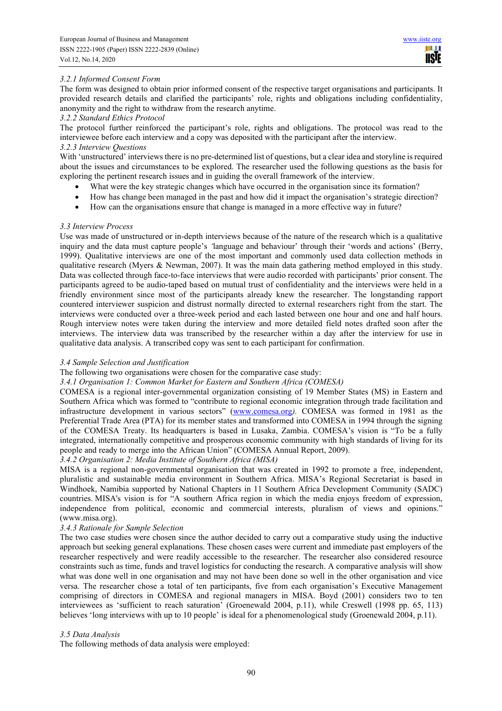# *3.2.1 Informed Consent Form*

The form was designed to obtain prior informed consent of the respective target organisations and participants. It provided research details and clarified the participants' role, rights and obligations including confidentiality, anonymity and the right to withdraw from the research anytime.

#### *3.2.2 Standard Ethics Protocol*

The protocol further reinforced the participant's role, rights and obligations. The protocol was read to the interviewee before each interview and a copy was deposited with the participant after the interview. *3.2.3 Interview Questions* 

With 'unstructured' interviews there is no pre-determined list of questions, but a clear idea and storyline is required about the issues and circumstances to be explored. The researcher used the following questions as the basis for exploring the pertinent research issues and in guiding the overall framework of the interview.

- What were the key strategic changes which have occurred in the organisation since its formation?
- How has change been managed in the past and how did it impact the organisation's strategic direction?
- How can the organisations ensure that change is managed in a more effective way in future?

## *3.3 Interview Process*

Use was made of unstructured or in-depth interviews because of the nature of the research which is a qualitative inquiry and the data must capture people's *'*language and behaviour' through their 'words and actions' (Berry, 1999). Qualitative interviews are one of the most important and commonly used data collection methods in qualitative research (Myers & Newman, 2007). It was the main data gathering method employed in this study. Data was collected through face-to-face interviews that were audio recorded with participants' prior consent. The participants agreed to be audio-taped based on mutual trust of confidentiality and the interviews were held in a friendly environment since most of the participants already knew the researcher. The longstanding rapport countered interviewer suspicion and distrust normally directed to external researchers right from the start. The interviews were conducted over a three-week period and each lasted between one hour and one and half hours. Rough interview notes were taken during the interview and more detailed field notes drafted soon after the interviews. The interview data was transcribed by the researcher within a day after the interview for use in qualitative data analysis. A transcribed copy was sent to each participant for confirmation.

## *3.4 Sample Selection and Justification*

The following two organisations were chosen for the comparative case study:

#### *3.4.1 Organisation 1: Common Market for Eastern and Southern Africa (COMESA)*

COMESA is a regional inter-governmental organization consisting of 19 Member States (MS) in Eastern and Southern Africa which was formed to "contribute to regional economic integration through trade facilitation and infrastructure development in various sectors" (www.comesa.org*).* COMESA was formed in 1981 as the Preferential Trade Area (PTA) for its member states and transformed into COMESA in 1994 through the signing of the COMESA Treaty. Its headquarters is based in Lusaka, Zambia. COMESA's vision is "To be a fully integrated, internationally competitive and prosperous economic community with high standards of living for its people and ready to merge into the African Union" (COMESA Annual Report, 2009).

#### *3.4.2 Organisation 2: Media Institute of Southern Africa (MISA)*

MISA is a regional non-governmental organisation that was created in 1992 to promote a free, independent, pluralistic and sustainable media environment in Southern Africa. MISA's Regional Secretariat is based in Windhoek, Namibia supported by National Chapters in 11 Southern Africa Development Community (SADC) countries. MISA's vision is for "A southern Africa region in which the media enjoys freedom of expression, independence from political, economic and commercial interests, pluralism of views and opinions." (www.misa.org).

#### *3.4.3 Rationale for Sample Selection*

The two case studies were chosen since the author decided to carry out a comparative study using the inductive approach but seeking general explanations. These chosen cases were current and immediate past employers of the researcher respectively and were readily accessible to the researcher. The researcher also considered resource constraints such as time, funds and travel logistics for conducting the research. A comparative analysis will show what was done well in one organisation and may not have been done so well in the other organisation and vice versa. The researcher chose a total of ten participants, five from each organisation's Executive Management comprising of directors in COMESA and regional managers in MISA. Boyd (2001) considers two to ten interviewees as 'sufficient to reach saturation' (Groenewald 2004, p.11), while Creswell (1998 pp. 65, 113) believes 'long interviews with up to 10 people' is ideal for a phenomenological study (Groenewald 2004, p.11).

## *3.5 Data Analysis*

The following methods of data analysis were employed: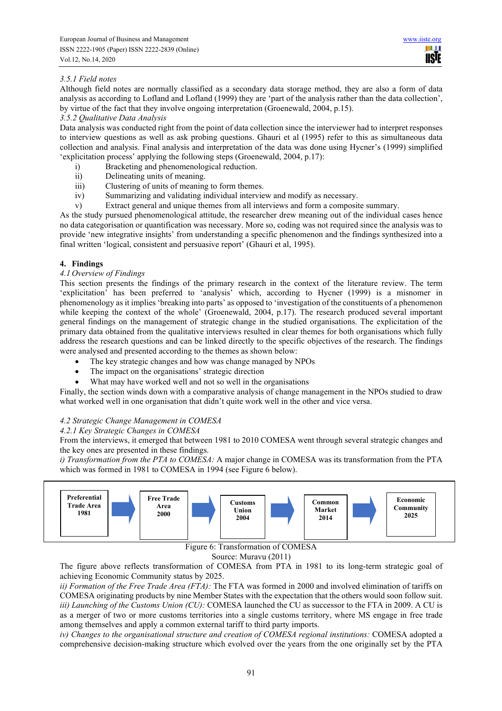# *3.5.1 Field notes*

Although field notes are normally classified as a secondary data storage method, they are also a form of data analysis as according to Lofland and Lofland (1999) they are 'part of the analysis rather than the data collection', by virtue of the fact that they involve ongoing interpretation (Groenewald, 2004, p.15).

#### *3.5.2 Qualitative Data Analysis*

Data analysis was conducted right from the point of data collection since the interviewer had to interpret responses to interview questions as well as ask probing questions. Ghauri et al (1995) refer to this as simultaneous data collection and analysis. Final analysis and interpretation of the data was done using Hycner's (1999) simplified 'explicitation process' applying the following steps (Groenewald, 2004, p.17):

- i) Bracketing and phenomenological reduction.
- ii) Delineating units of meaning.
- iii) Clustering of units of meaning to form themes.
- iv) Summarizing and validating individual interview and modify as necessary.
- v) Extract general and unique themes from all interviews and form a composite summary.

As the study pursued phenomenological attitude, the researcher drew meaning out of the individual cases hence no data categorisation or quantification was necessary. More so, coding was not required since the analysis was to provide 'new integrative insights' from understanding a specific phenomenon and the findings synthesized into a final written 'logical, consistent and persuasive report' (Ghauri et al, 1995).

## **4. Findings**

## *4.1 Overview of Findings*

This section presents the findings of the primary research in the context of the literature review. The term 'explicitation' has been preferred to 'analysis' which, according to Hycner (1999) is a misnomer in phenomenology as it implies 'breaking into parts' as opposed to 'investigation of the constituents of a phenomenon while keeping the context of the whole' (Groenewald, 2004, p.17). The research produced several important general findings on the management of strategic change in the studied organisations. The explicitation of the primary data obtained from the qualitative interviews resulted in clear themes for both organisations which fully address the research questions and can be linked directly to the specific objectives of the research. The findings were analysed and presented according to the themes as shown below:

- The key strategic changes and how was change managed by NPOs
- The impact on the organisations' strategic direction
- What may have worked well and not so well in the organisations

Finally, the section winds down with a comparative analysis of change management in the NPOs studied to draw what worked well in one organisation that didn't quite work well in the other and vice versa.

## *4.2 Strategic Change Management in COMESA*

## *4.2.1 Key Strategic Changes in COMESA*

From the interviews, it emerged that between 1981 to 2010 COMESA went through several strategic changes and the key ones are presented in these findings.

*i) Transformation from the PTA to COMESA:* A major change in COMESA was its transformation from the PTA which was formed in 1981 to COMESA in 1994 (see Figure 6 below).



Figure 6: Transformation of COMESA

#### Source: Muravu (2011)

The figure above reflects transformation of COMESA from PTA in 1981 to its long-term strategic goal of achieving Economic Community status by 2025.

*ii) Formation of the Free Trade Area (FTA):* The FTA was formed in 2000 and involved elimination of tariffs on COMESA originating products by nine Member States with the expectation that the others would soon follow suit. *iii) Launching of the Customs Union (CU):* COMESA launched the CU as successor to the FTA in 2009. A CU is as a merger of two or more customs territories into a single customs territory, where MS engage in free trade among themselves and apply a common external tariff to third party imports.

*iv) Changes to the organisational structure and creation of COMESA regional institutions:* COMESA adopted a comprehensive decision-making structure which evolved over the years from the one originally set by the PTA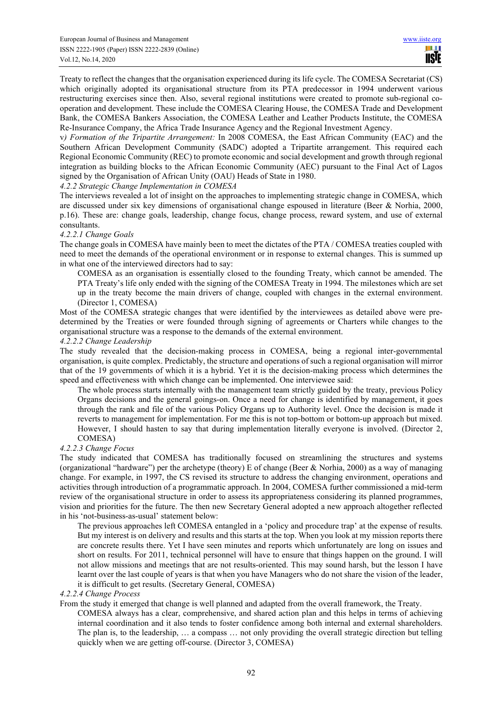Treaty to reflect the changes that the organisation experienced during its life cycle. The COMESA Secretariat (CS) which originally adopted its organisational structure from its PTA predecessor in 1994 underwent various restructuring exercises since then. Also, several regional institutions were created to promote sub-regional cooperation and development. These include the COMESA Clearing House, the COMESA Trade and Development Bank, the COMESA Bankers Association, the COMESA Leather and Leather Products Institute, the COMESA Re-Insurance Company, the Africa Trade Insurance Agency and the Regional Investment Agency.

v*) Formation of the Tripartite Arrangement:* In 2008 COMESA, the East African Community (EAC) and the Southern African Development Community (SADC) adopted a Tripartite arrangement. This required each Regional Economic Community (REC) to promote economic and social development and growth through regional integration as building blocks to the African Economic Community (AEC) pursuant to the Final Act of Lagos signed by the Organisation of African Unity (OAU) Heads of State in 1980.

#### *4.2.2 Strategic Change Implementation in COMESA*

The interviews revealed a lot of insight on the approaches to implementing strategic change in COMESA, which are discussed under six key dimensions of organisational change espoused in literature (Beer & Norhia, 2000, p.16). These are: change goals, leadership, change focus, change process, reward system, and use of external consultants.

#### *4.2.2.1 Change Goals*

The change goals in COMESA have mainly been to meet the dictates of the PTA / COMESA treaties coupled with need to meet the demands of the operational environment or in response to external changes. This is summed up in what one of the interviewed directors had to say:

COMESA as an organisation is essentially closed to the founding Treaty, which cannot be amended. The PTA Treaty's life only ended with the signing of the COMESA Treaty in 1994. The milestones which are set up in the treaty become the main drivers of change, coupled with changes in the external environment. (Director 1, COMESA)

Most of the COMESA strategic changes that were identified by the interviewees as detailed above were predetermined by the Treaties or were founded through signing of agreements or Charters while changes to the organisational structure was a response to the demands of the external environment.

#### *4.2.2.2 Change Leadership*

The study revealed that the decision-making process in COMESA, being a regional inter-governmental organisation, is quite complex. Predictably, the structure and operations of such a regional organisation will mirror that of the 19 governments of which it is a hybrid. Yet it is the decision-making process which determines the speed and effectiveness with which change can be implemented. One interviewee said:

The whole process starts internally with the management team strictly guided by the treaty, previous Policy Organs decisions and the general goings-on. Once a need for change is identified by management, it goes through the rank and file of the various Policy Organs up to Authority level. Once the decision is made it reverts to management for implementation. For me this is not top-bottom or bottom-up approach but mixed. However, I should hasten to say that during implementation literally everyone is involved. (Director 2, COMESA)

## *4.2.2.3 Change Focus*

The study indicated that COMESA has traditionally focused on streamlining the structures and systems (organizational "hardware") per the archetype (theory) E of change (Beer & Norhia, 2000) as a way of managing change. For example, in 1997, the CS revised its structure to address the changing environment, operations and activities through introduction of a programmatic approach. In 2004, COMESA further commissioned a mid-term review of the organisational structure in order to assess its appropriateness considering its planned programmes, vision and priorities for the future. The then new Secretary General adopted a new approach altogether reflected in his 'not-business-as-usual' statement below:

The previous approaches left COMESA entangled in a 'policy and procedure trap' at the expense of results. But my interest is on delivery and results and this starts at the top. When you look at my mission reports there are concrete results there. Yet I have seen minutes and reports which unfortunately are long on issues and short on results. For 2011, technical personnel will have to ensure that things happen on the ground. I will not allow missions and meetings that are not results-oriented. This may sound harsh, but the lesson I have learnt over the last couple of years is that when you have Managers who do not share the vision of the leader, it is difficult to get results. (Secretary General, COMESA)

#### *4.2.2.4 Change Process*

From the study it emerged that change is well planned and adapted from the overall framework, the Treaty.

COMESA always has a clear, comprehensive, and shared action plan and this helps in terms of achieving internal coordination and it also tends to foster confidence among both internal and external shareholders. The plan is, to the leadership, … a compass … not only providing the overall strategic direction but telling quickly when we are getting off-course. (Director 3, COMESA)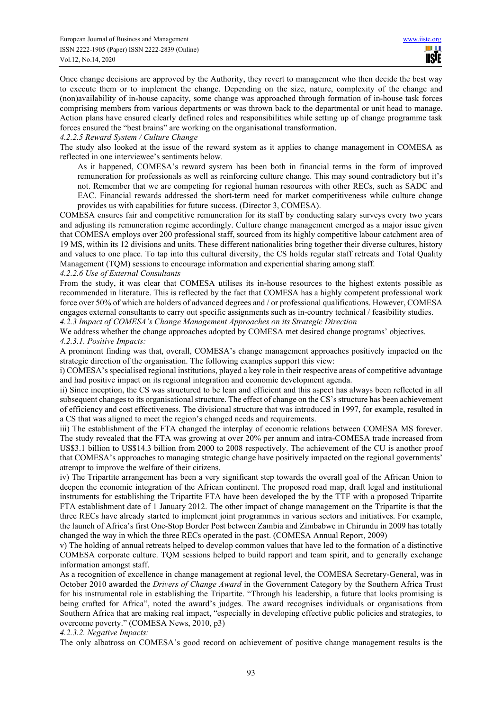Once change decisions are approved by the Authority, they revert to management who then decide the best way to execute them or to implement the change. Depending on the size, nature, complexity of the change and (non)availability of in-house capacity, some change was approached through formation of in-house task forces comprising members from various departments or was thrown back to the departmental or unit head to manage. Action plans have ensured clearly defined roles and responsibilities while setting up of change programme task forces ensured the "best brains" are working on the organisational transformation.

#### *4.2.2.5 Reward System / Culture Change*

The study also looked at the issue of the reward system as it applies to change management in COMESA as reflected in one interviewee's sentiments below.

As it happened, COMESA's reward system has been both in financial terms in the form of improved remuneration for professionals as well as reinforcing culture change. This may sound contradictory but it's not. Remember that we are competing for regional human resources with other RECs, such as SADC and EAC. Financial rewards addressed the short-term need for market competitiveness while culture change provides us with capabilities for future success. (Director 3, COMESA).

COMESA ensures fair and competitive remuneration for its staff by conducting salary surveys every two years and adjusting its remuneration regime accordingly. Culture change management emerged as a major issue given that COMESA employs over 200 professional staff, sourced from its highly competitive labour catchment area of 19 MS, within its 12 divisions and units. These different nationalities bring together their diverse cultures, history and values to one place. To tap into this cultural diversity, the CS holds regular staff retreats and Total Quality Management (TQM) sessions to encourage information and experiential sharing among staff.

## *4.2.2.6 Use of External Consultants*

From the study, it was clear that COMESA utilises its in-house resources to the highest extents possible as recommended in literature. This is reflected by the fact that COMESA has a highly competent professional work force over 50% of which are holders of advanced degrees and / or professional qualifications. However, COMESA engages external consultants to carry out specific assignments such as in-country technical / feasibility studies. *4.2.3 Impact of COMESA's Change Management Approaches on its Strategic Direction* 

We address whether the change approaches adopted by COMESA met desired change programs' objectives.

#### *4.2.3.1. Positive Impacts:*

A prominent finding was that, overall, COMESA's change management approaches positively impacted on the strategic direction of the organisation. The following examples support this view:

i) COMESA's specialised regional institutions, played a key role in their respective areas of competitive advantage and had positive impact on its regional integration and economic development agenda.

ii) Since inception, the CS was structured to be lean and efficient and this aspect has always been reflected in all subsequent changes to its organisational structure. The effect of change on the CS's structure has been achievement of efficiency and cost effectiveness. The divisional structure that was introduced in 1997, for example, resulted in a CS that was aligned to meet the region's changed needs and requirements.

iii) The establishment of the FTA changed the interplay of economic relations between COMESA MS forever. The study revealed that the FTA was growing at over 20% per annum and intra-COMESA trade increased from US\$3.1 billion to US\$14.3 billion from 2000 to 2008 respectively. The achievement of the CU is another proof that COMESA's approaches to managing strategic change have positively impacted on the regional governments' attempt to improve the welfare of their citizens.

iv) The Tripartite arrangement has been a very significant step towards the overall goal of the African Union to deepen the economic integration of the African continent. The proposed road map, draft legal and institutional instruments for establishing the Tripartite FTA have been developed the by the TTF with a proposed Tripartite FTA establishment date of 1 January 2012. The other impact of change management on the Tripartite is that the three RECs have already started to implement joint programmes in various sectors and initiatives. For example, the launch of Africa's first One-Stop Border Post between Zambia and Zimbabwe in Chirundu in 2009 has totally changed the way in which the three RECs operated in the past. (COMESA Annual Report, 2009)

v) The holding of annual retreats helped to develop common values that have led to the formation of a distinctive COMESA corporate culture. TQM sessions helped to build rapport and team spirit, and to generally exchange information amongst staff.

As a recognition of excellence in change management at regional level, the COMESA Secretary-General, was in October 2010 awarded the *Drivers of Change Award* in the Government Category by the Southern Africa Trust for his instrumental role in establishing the Tripartite. "Through his leadership, a future that looks promising is being crafted for Africa", noted the award's judges. The award recognises individuals or organisations from Southern Africa that are making real impact, "especially in developing effective public policies and strategies, to overcome poverty." (COMESA News, 2010, p3)

#### *4.2.3.2. Negative Impacts:*

The only albatross on COMESA's good record on achievement of positive change management results is the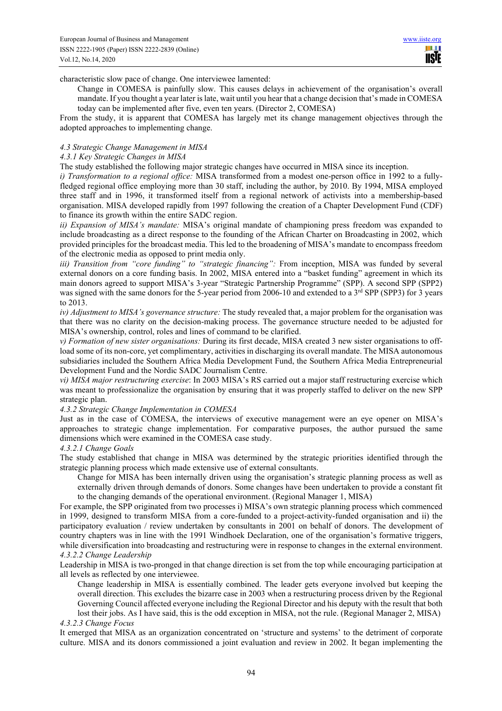ш **USIE** 

characteristic slow pace of change. One interviewee lamented:

Change in COMESA is painfully slow. This causes delays in achievement of the organisation's overall mandate. If you thought a year later is late, wait until you hear that a change decision that's made in COMESA today can be implemented after five, even ten years. (Director 2, COMESA)

From the study, it is apparent that COMESA has largely met its change management objectives through the adopted approaches to implementing change.

#### *4.3 Strategic Change Management in MISA*

#### *4.3.1 Key Strategic Changes in MISA*

The study established the following major strategic changes have occurred in MISA since its inception.

*i) Transformation to a regional office:* MISA transformed from a modest one-person office in 1992 to a fullyfledged regional office employing more than 30 staff, including the author, by 2010. By 1994, MISA employed three staff and in 1996, it transformed itself from a regional network of activists into a membership-based organisation. MISA developed rapidly from 1997 following the creation of a Chapter Development Fund (CDF) to finance its growth within the entire SADC region.

*ii) Expansion of MISA's mandate:* MISA's original mandate of championing press freedom was expanded to include broadcasting as a direct response to the founding of the African Charter on Broadcasting in 2002, which provided principles for the broadcast media. This led to the broadening of MISA's mandate to encompass freedom of the electronic media as opposed to print media only.

*iii) Transition from "core funding" to "strategic financing":* From inception, MISA was funded by several external donors on a core funding basis. In 2002, MISA entered into a "basket funding" agreement in which its main donors agreed to support MISA's 3-year "Strategic Partnership Programme" (SPP). A second SPP (SPP2) was signed with the same donors for the 5-year period from 2006-10 and extended to a 3<sup>rd</sup> SPP (SPP3) for 3 years to 2013.

*iv) Adjustment to MISA's governance structure:* The study revealed that, a major problem for the organisation was that there was no clarity on the decision-making process. The governance structure needed to be adjusted for MISA's ownership, control, roles and lines of command to be clarified.

*v) Formation of new sister organisations:* During its first decade, MISA created 3 new sister organisations to offload some of its non-core, yet complimentary, activities in discharging its overall mandate. The MISA autonomous subsidiaries included the Southern Africa Media Development Fund, the Southern Africa Media Entrepreneurial Development Fund and the Nordic SADC Journalism Centre.

*vi) MISA major restructuring exercise*: In 2003 MISA's RS carried out a major staff restructuring exercise which was meant to professionalize the organisation by ensuring that it was properly staffed to deliver on the new SPP strategic plan.

#### *4.3.2 Strategic Change Implementation in COMESA*

Just as in the case of COMESA, the interviews of executive management were an eye opener on MISA's approaches to strategic change implementation. For comparative purposes, the author pursued the same dimensions which were examined in the COMESA case study.

#### *4.3.2.1 Change Goals*

The study established that change in MISA was determined by the strategic priorities identified through the strategic planning process which made extensive use of external consultants.

Change for MISA has been internally driven using the organisation's strategic planning process as well as externally driven through demands of donors. Some changes have been undertaken to provide a constant fit to the changing demands of the operational environment. (Regional Manager 1, MISA)

For example, the SPP originated from two processes i) MISA's own strategic planning process which commenced in 1999, designed to transform MISA from a core-funded to a project-activity-funded organisation and ii) the participatory evaluation / review undertaken by consultants in 2001 on behalf of donors. The development of country chapters was in line with the 1991 Windhoek Declaration, one of the organisation's formative triggers, while diversification into broadcasting and restructuring were in response to changes in the external environment. *4.3.2.2 Change Leadership* 

Leadership in MISA is two-pronged in that change direction is set from the top while encouraging participation at all levels as reflected by one interviewee.

Change leadership in MISA is essentially combined. The leader gets everyone involved but keeping the overall direction. This excludes the bizarre case in 2003 when a restructuring process driven by the Regional Governing Council affected everyone including the Regional Director and his deputy with the result that both lost their jobs. As I have said, this is the odd exception in MISA, not the rule. (Regional Manager 2, MISA)

# *4.3.2.3 Change Focus*

It emerged that MISA as an organization concentrated on 'structure and systems' to the detriment of corporate culture. MISA and its donors commissioned a joint evaluation and review in 2002. It began implementing the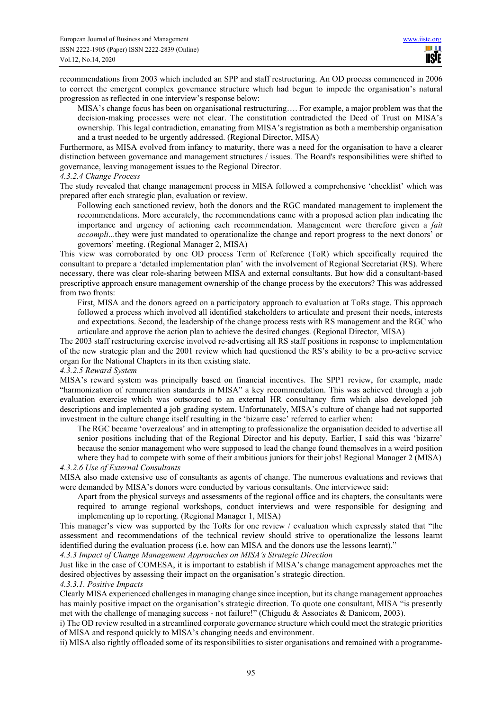recommendations from 2003 which included an SPP and staff restructuring. An OD process commenced in 2006 to correct the emergent complex governance structure which had begun to impede the organisation's natural progression as reflected in one interview's response below:

MISA's change focus has been on organisational restructuring…. For example, a major problem was that the decision-making processes were not clear. The constitution contradicted the Deed of Trust on MISA's ownership. This legal contradiction, emanating from MISA's registration as both a membership organisation and a trust needed to be urgently addressed. (Regional Director, MISA)

Furthermore, as MISA evolved from infancy to maturity, there was a need for the organisation to have a clearer distinction between governance and management structures / issues. The Board's responsibilities were shifted to governance, leaving management issues to the Regional Director.

#### *4.3.2.4 Change Process*

The study revealed that change management process in MISA followed a comprehensive 'checklist' which was prepared after each strategic plan, evaluation or review.

Following each sanctioned review, both the donors and the RGC mandated management to implement the recommendations. More accurately, the recommendations came with a proposed action plan indicating the importance and urgency of actioning each recommendation. Management were therefore given a *fait accompli*...they were just mandated to operationalize the change and report progress to the next donors' or governors' meeting. (Regional Manager 2, MISA)

This view was corroborated by one OD process Term of Reference (ToR) which specifically required the consultant to prepare a 'detailed implementation plan' with the involvement of Regional Secretariat (RS). Where necessary, there was clear role-sharing between MISA and external consultants. But how did a consultant-based prescriptive approach ensure management ownership of the change process by the executors? This was addressed from two fronts:

First, MISA and the donors agreed on a participatory approach to evaluation at ToRs stage. This approach followed a process which involved all identified stakeholders to articulate and present their needs, interests and expectations. Second, the leadership of the change process rests with RS management and the RGC who articulate and approve the action plan to achieve the desired changes. (Regional Director, MISA)

The 2003 staff restructuring exercise involved re-advertising all RS staff positions in response to implementation of the new strategic plan and the 2001 review which had questioned the RS's ability to be a pro-active service organ for the National Chapters in its then existing state.

#### *4.3.2.5 Reward System*

MISA's reward system was principally based on financial incentives. The SPP1 review, for example, made "harmonization of remuneration standards in MISA" a key recommendation. This was achieved through a job evaluation exercise which was outsourced to an external HR consultancy firm which also developed job descriptions and implemented a job grading system. Unfortunately, MISA's culture of change had not supported investment in the culture change itself resulting in the 'bizarre case' referred to earlier when:

The RGC became 'overzealous' and in attempting to professionalize the organisation decided to advertise all senior positions including that of the Regional Director and his deputy. Earlier, I said this was 'bizarre' because the senior management who were supposed to lead the change found themselves in a weird position where they had to compete with some of their ambitious juniors for their jobs! Regional Manager 2 (MISA)

#### *4.3.2.6 Use of External Consultants*

MISA also made extensive use of consultants as agents of change. The numerous evaluations and reviews that were demanded by MISA's donors were conducted by various consultants. One interviewee said:

Apart from the physical surveys and assessments of the regional office and its chapters, the consultants were required to arrange regional workshops, conduct interviews and were responsible for designing and implementing up to reporting. (Regional Manager 1, MISA)

This manager's view was supported by the ToRs for one review / evaluation which expressly stated that "the assessment and recommendations of the technical review should strive to operationalize the lessons learnt identified during the evaluation process (i.e. how can MISA and the donors use the lessons learnt)."

*4.3.3 Impact of Change Management Approaches on MISA's Strategic Direction* 

Just like in the case of COMESA, it is important to establish if MISA's change management approaches met the desired objectives by assessing their impact on the organisation's strategic direction.

#### *4.3.3.1. Positive Impacts*

Clearly MISA experienced challenges in managing change since inception, but its change management approaches has mainly positive impact on the organisation's strategic direction. To quote one consultant, MISA "is presently met with the challenge of managing success - not failure!" (Chigudu & Associates & Danicom, 2003).

i) The OD review resulted in a streamlined corporate governance structure which could meet the strategic priorities of MISA and respond quickly to MISA's changing needs and environment.

ii) MISA also rightly offloaded some of its responsibilities to sister organisations and remained with a programme-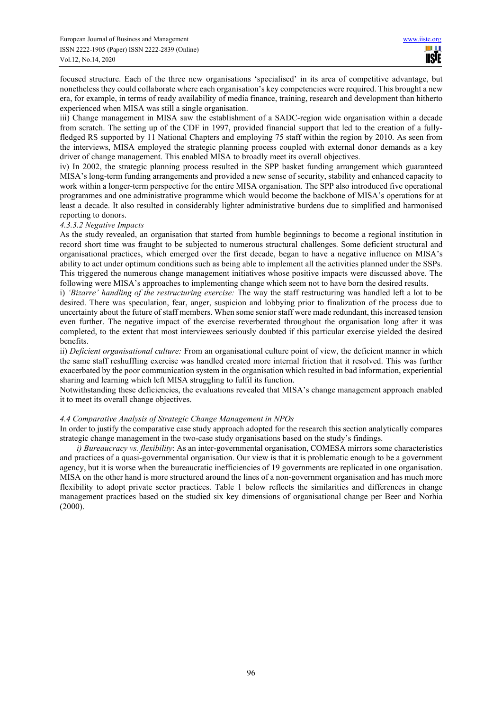focused structure. Each of the three new organisations 'specialised' in its area of competitive advantage, but nonetheless they could collaborate where each organisation's key competencies were required. This brought a new era, for example, in terms of ready availability of media finance, training, research and development than hitherto experienced when MISA was still a single organisation.

iii) Change management in MISA saw the establishment of a SADC-region wide organisation within a decade from scratch. The setting up of the CDF in 1997, provided financial support that led to the creation of a fullyfledged RS supported by 11 National Chapters and employing 75 staff within the region by 2010. As seen from the interviews, MISA employed the strategic planning process coupled with external donor demands as a key driver of change management. This enabled MISA to broadly meet its overall objectives.

iv) In 2002, the strategic planning process resulted in the SPP basket funding arrangement which guaranteed MISA's long-term funding arrangements and provided a new sense of security, stability and enhanced capacity to work within a longer-term perspective for the entire MISA organisation. The SPP also introduced five operational programmes and one administrative programme which would become the backbone of MISA's operations for at least a decade. It also resulted in considerably lighter administrative burdens due to simplified and harmonised reporting to donors.

## *4.3.3.2 Negative Impacts*

As the study revealed, an organisation that started from humble beginnings to become a regional institution in record short time was fraught to be subjected to numerous structural challenges. Some deficient structural and organisational practices, which emerged over the first decade, began to have a negative influence on MISA's ability to act under optimum conditions such as being able to implement all the activities planned under the SSPs. This triggered the numerous change management initiatives whose positive impacts were discussed above. The following were MISA's approaches to implementing change which seem not to have born the desired results.

i) *'Bizarre' handling of the restructuring exercise:* The way the staff restructuring was handled left a lot to be desired. There was speculation, fear, anger, suspicion and lobbying prior to finalization of the process due to uncertainty about the future of staff members. When some senior staff were made redundant, this increased tension even further. The negative impact of the exercise reverberated throughout the organisation long after it was completed, to the extent that most interviewees seriously doubted if this particular exercise yielded the desired benefits.

ii) *Deficient organisational culture:* From an organisational culture point of view, the deficient manner in which the same staff reshuffling exercise was handled created more internal friction that it resolved. This was further exacerbated by the poor communication system in the organisation which resulted in bad information, experiential sharing and learning which left MISA struggling to fulfil its function.

Notwithstanding these deficiencies, the evaluations revealed that MISA's change management approach enabled it to meet its overall change objectives.

## *4.4 Comparative Analysis of Strategic Change Management in NPOs*

In order to justify the comparative case study approach adopted for the research this section analytically compares strategic change management in the two-case study organisations based on the study's findings.

*i) Bureaucracy vs. flexibility*: As an inter-governmental organisation, COMESA mirrors some characteristics and practices of a quasi-governmental organisation. Our view is that it is problematic enough to be a government agency, but it is worse when the bureaucratic inefficiencies of 19 governments are replicated in one organisation. MISA on the other hand is more structured around the lines of a non-government organisation and has much more flexibility to adopt private sector practices. Table 1 below reflects the similarities and differences in change management practices based on the studied six key dimensions of organisational change per Beer and Norhia (2000).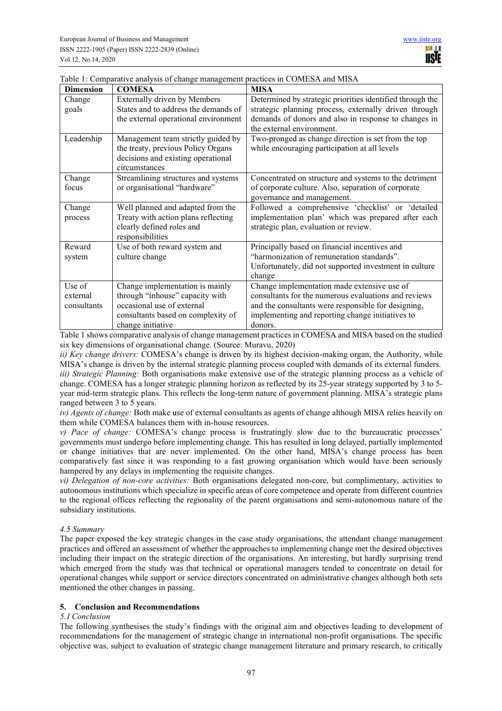| <b>Dimension</b>                  | <b>COMESA</b>                                                                                                                                               | <b>MISA</b>                                                                                                                                                                                                               |
|-----------------------------------|-------------------------------------------------------------------------------------------------------------------------------------------------------------|---------------------------------------------------------------------------------------------------------------------------------------------------------------------------------------------------------------------------|
| Change<br>goals                   | Externally driven by Members<br>States and to address the demands of<br>the external operational environment                                                | Determined by strategic priorities identified through the<br>strategic planning process, externally driven through<br>demands of donors and also in response to changes in<br>the external environment.                   |
| Leadership                        | Management team strictly guided by<br>the treaty, previous Policy Organs<br>decisions and existing operational<br>circumstances                             | Two-pronged as change direction is set from the top<br>while encouraging participation at all levels                                                                                                                      |
| Change<br>focus                   | Streamlining structures and systems<br>or organisational "hardware"                                                                                         | Concentrated on structure and systems to the detriment<br>of corporate culture. Also, separation of corporate<br>governance and management.                                                                               |
| Change<br>process                 | Well planned and adapted from the<br>Treaty with action plans reflecting<br>clearly defined roles and<br>responsibilities                                   | Followed a comprehensive 'checklist' or 'detailed<br>implementation plan' which was prepared after each<br>strategic plan, evaluation or review.                                                                          |
| Reward<br>system                  | Use of both reward system and<br>culture change                                                                                                             | Principally based on financial incentives and<br>"harmonization of remuneration standards".<br>Unfortunately, did not supported investment in culture<br>change                                                           |
| Use of<br>external<br>consultants | Change implementation is mainly<br>through "inhouse" capacity with<br>occasional use of external<br>consultants based on complexity of<br>change initiative | Change implementation made extensive use of<br>consultants for the numerous evaluations and reviews<br>and the consultants were responsible for designing,<br>implementing and reporting change initiatives to<br>donors. |

|  | Table 1: Comparative analysis of change management practices in COMESA and MISA |
|--|---------------------------------------------------------------------------------|
|  |                                                                                 |

Table 1 shows comparative analysis of change management practices in COMESA and MISA based on the studied six key dimensions of organisational change. (Source: Muravu, 2020)

*ii) Key change drivers:* COMESA's change is driven by its highest decision-making organ, the Authority, while MISA's change is driven by the internal strategic planning process coupled with demands of its external funders. *iii) Strategic Planning:* Both organisations make extensive use of the strategic planning process as a vehicle of change. COMESA has a longer strategic planning horizon as reflected by its 25-year strategy supported by 3 to 5 year mid-term strategic plans. This reflects the long-term nature of government planning. MISA's strategic plans ranged between 3 to 5 years.

*iv) Agents of change:* Both make use of external consultants as agents of change although MISA relies heavily on them while COMESA balances them with in-house resources.

*v) Pace of change:* COMESA's change process is frustratingly slow due to the bureaucratic processes' governments must undergo before implementing change. This has resulted in long delayed, partially implemented or change initiatives that are never implemented. On the other hand, MISA's change process has been comparatively fast since it was responding to a fast growing organisation which would have been seriously hampered by any delays in implementing the requisite changes.

*vi) Delegation of non-core activities:* Both organisations delegated non-core, but complimentary, activities to autonomous institutions which specialize in specific areas of core competence and operate from different countries to the regional offices reflecting the regionality of the parent organisations and semi-autonomous nature of the subsidiary institutions.

## *4.5 Summary*

The paper exposed the key strategic changes in the case study organisations, the attendant change management practices and offered an assessment of whether the approaches to implementing change met the desired objectives including their impact on the strategic direction of the organisations. An interesting, but hardly surprising trend which emerged from the study was that technical or operational managers tended to concentrate on detail for operational changes while support or service directors concentrated on administrative changes although both sets mentioned the other changes in passing.

# **5. Conclusion and Recommendations**

## *5.1 Conclusion*

The following synthesises the study's findings with the original aim and objectives leading to development of recommendations for the management of strategic change in international non-profit organisations. The specific objective was, subject to evaluation of strategic change management literature and primary research, to critically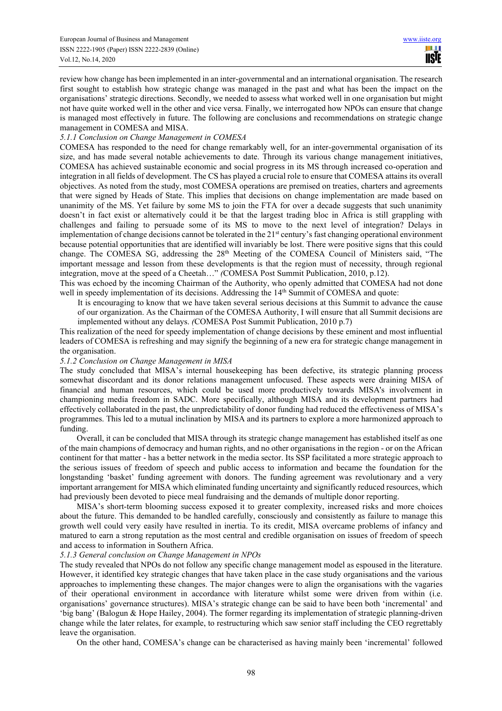review how change has been implemented in an inter-governmental and an international organisation. The research first sought to establish how strategic change was managed in the past and what has been the impact on the organisations' strategic directions. Secondly, we needed to assess what worked well in one organisation but might not have quite worked well in the other and vice versa. Finally, we interrogated how NPOs can ensure that change is managed most effectively in future. The following are conclusions and recommendations on strategic change management in COMESA and MISA.

#### *5.1.1 Conclusion on Change Management in COMESA*

COMESA has responded to the need for change remarkably well, for an inter-governmental organisation of its size, and has made several notable achievements to date. Through its various change management initiatives, COMESA has achieved sustainable economic and social progress in its MS through increased co-operation and integration in all fields of development. The CS has played a crucial role to ensure that COMESA attains its overall objectives. As noted from the study, most COMESA operations are premised on treaties, charters and agreements that were signed by Heads of State. This implies that decisions on change implementation are made based on unanimity of the MS. Yet failure by some MS to join the FTA for over a decade suggests that such unanimity doesn't in fact exist or alternatively could it be that the largest trading bloc in Africa is still grappling with challenges and failing to persuade some of its MS to move to the next level of integration? Delays in implementation of change decisions cannot be tolerated in the  $21<sup>st</sup>$  century's fast changing operational environment because potential opportunities that are identified will invariably be lost. There were positive signs that this could change. The COMESA SG, addressing the 28<sup>th</sup> Meeting of the COMESA Council of Ministers said, "The important message and lesson from these developments is that the region must of necessity, through regional integration, move at the speed of a Cheetah…" *(*COMESA Post Summit Publication, 2010, p.12).

This was echoed by the incoming Chairman of the Authority, who openly admitted that COMESA had not done well in speedy implementation of its decisions. Addressing the  $14<sup>th</sup>$  Summit of COMESA and quote:

It is encouraging to know that we have taken several serious decisions at this Summit to advance the cause of our organization. As the Chairman of the COMESA Authority, I will ensure that all Summit decisions are implemented without any delays. *(*COMESA Post Summit Publication, 2010 p.7)

This realization of the need for speedy implementation of change decisions by these eminent and most influential leaders of COMESA is refreshing and may signify the beginning of a new era for strategic change management in the organisation.

## *5.1.2 Conclusion on Change Management in MISA*

The study concluded that MISA's internal housekeeping has been defective, its strategic planning process somewhat discordant and its donor relations management unfocused. These aspects were draining MISA of financial and human resources, which could be used more productively towards MISA's involvement in championing media freedom in SADC. More specifically, although MISA and its development partners had effectively collaborated in the past, the unpredictability of donor funding had reduced the effectiveness of MISA's programmes. This led to a mutual inclination by MISA and its partners to explore a more harmonized approach to funding.

Overall, it can be concluded that MISA through its strategic change management has established itself as one of the main champions of democracy and human rights, and no other organisations in the region - or on the African continent for that matter - has a better network in the media sector. Its SSP facilitated a more strategic approach to the serious issues of freedom of speech and public access to information and became the foundation for the longstanding 'basket' funding agreement with donors. The funding agreement was revolutionary and a very important arrangement for MISA which eliminated funding uncertainty and significantly reduced resources, which had previously been devoted to piece meal fundraising and the demands of multiple donor reporting.

MISA's short-term blooming success exposed it to greater complexity, increased risks and more choices about the future. This demanded to be handled carefully, consciously and consistently as failure to manage this growth well could very easily have resulted in inertia. To its credit, MISA overcame problems of infancy and matured to earn a strong reputation as the most central and credible organisation on issues of freedom of speech and access to information in Southern Africa.

## *5.1.3 General conclusion on Change Management in NPOs*

The study revealed that NPOs do not follow any specific change management model as espoused in the literature. However, it identified key strategic changes that have taken place in the case study organisations and the various approaches to implementing these changes. The major changes were to align the organisations with the vagaries of their operational environment in accordance with literature whilst some were driven from within (i.e. organisations' governance structures). MISA's strategic change can be said to have been both 'incremental' and 'big bang' (Balogun & Hope Hailey, 2004). The former regarding its implementation of strategic planning-driven change while the later relates, for example, to restructuring which saw senior staff including the CEO regrettably leave the organisation.

On the other hand, COMESA's change can be characterised as having mainly been 'incremental' followed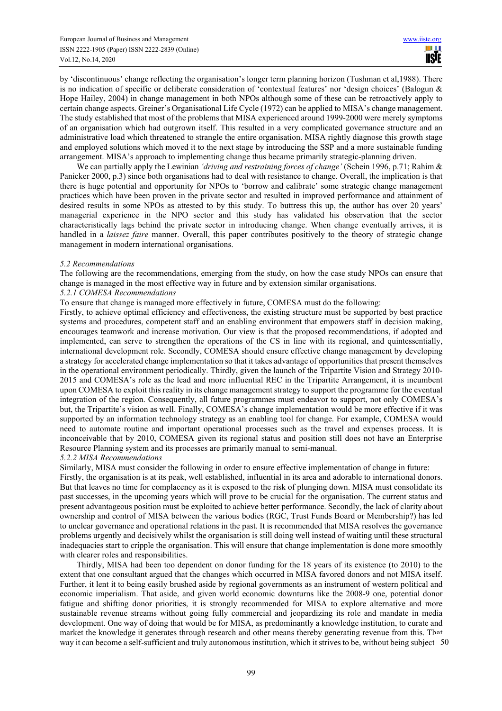by 'discontinuous' change reflecting the organisation's longer term planning horizon (Tushman et al,1988). There is no indication of specific or deliberate consideration of 'contextual features' nor 'design choices' (Balogun & Hope Hailey, 2004) in change management in both NPOs although some of these can be retroactively apply to certain change aspects. Greiner's Organisational Life Cycle (1972) can be applied to MISA's change management. The study established that most of the problems that MISA experienced around 1999-2000 were merely symptoms of an organisation which had outgrown itself. This resulted in a very complicated governance structure and an administrative load which threatened to strangle the entire organisation. MISA rightly diagnose this growth stage and employed solutions which moved it to the next stage by introducing the SSP and a more sustainable funding arrangement. MISA's approach to implementing change thus became primarily strategic-planning driven.

We can partially apply the Lewinian *'driving and restraining forces of change'* (Schein 1996, p.71; Rahim & Panicker 2000, p.3) since both organisations had to deal with resistance to change. Overall, the implication is that there is huge potential and opportunity for NPOs to 'borrow and calibrate' some strategic change management practices which have been proven in the private sector and resulted in improved performance and attainment of desired results in some NPOs as attested to by this study. To buttress this up, the author has over 20 years' managerial experience in the NPO sector and this study has validated his observation that the sector characteristically lags behind the private sector in introducing change. When change eventually arrives, it is handled in a *laissez faire* manner. Overall, this paper contributes positively to the theory of strategic change management in modern international organisations.

#### *5.2 Recommendations*

The following are the recommendations, emerging from the study, on how the case study NPOs can ensure that change is managed in the most effective way in future and by extension similar organisations.

#### *5.2.1 COMESA Recommendations*

To ensure that change is managed more effectively in future, COMESA must do the following:

Firstly, to achieve optimal efficiency and effectiveness, the existing structure must be supported by best practice systems and procedures, competent staff and an enabling environment that empowers staff in decision making, encourages teamwork and increase motivation. Our view is that the proposed recommendations, if adopted and implemented, can serve to strengthen the operations of the CS in line with its regional, and quintessentially, international development role. Secondly, COMESA should ensure effective change management by developing a strategy for accelerated change implementation so that it takes advantage of opportunities that present themselves in the operational environment periodically. Thirdly, given the launch of the Tripartite Vision and Strategy 2010- 2015 and COMESA's role as the lead and more influential REC in the Tripartite Arrangement, it is incumbent upon COMESA to exploit this reality in its change management strategy to support the programme for the eventual integration of the region. Consequently, all future programmes must endeavor to support, not only COMESA's but, the Tripartite's vision as well. Finally, COMESA's change implementation would be more effective if it was supported by an information technology strategy as an enabling tool for change. For example, COMESA would need to automate routine and important operational processes such as the travel and expenses process. It is inconceivable that by 2010, COMESA given its regional status and position still does not have an Enterprise Resource Planning system and its processes are primarily manual to semi-manual.

#### *5.2.2 MISA Recommendations*

Similarly, MISA must consider the following in order to ensure effective implementation of change in future: Firstly, the organisation is at its peak, well established, influential in its area and adorable to international donors. But that leaves no time for complacency as it is exposed to the risk of plunging down. MISA must consolidate its past successes, in the upcoming years which will prove to be crucial for the organisation. The current status and present advantageous position must be exploited to achieve better performance. Secondly, the lack of clarity about ownership and control of MISA between the various bodies (RGC, Trust Funds Board or Membership?) has led to unclear governance and operational relations in the past. It is recommended that MISA resolves the governance problems urgently and decisively whilst the organisation is still doing well instead of waiting until these structural inadequacies start to cripple the organisation. This will ensure that change implementation is done more smoothly with clearer roles and responsibilities.

Thirdly, MISA had been too dependent on donor funding for the 18 years of its existence (to 2010) to the extent that one consultant argued that the changes which occurred in MISA favored donors and not MISA itself. Further, it lent it to being easily brushed aside by regional governments as an instrument of western political and economic imperialism. That aside, and given world economic downturns like the 2008-9 one, potential donor fatigue and shifting donor priorities, it is strongly recommended for MISA to explore alternative and more sustainable revenue streams without going fully commercial and jeopardizing its role and mandate in media development. One way of doing that would be for MISA, as predominantly a knowledge institution, to curate and market the knowledge it generates through research and other means thereby generating revenue from this. That way it can become a self-sufficient and truly autonomous institution, which it strives to be, without being subject 50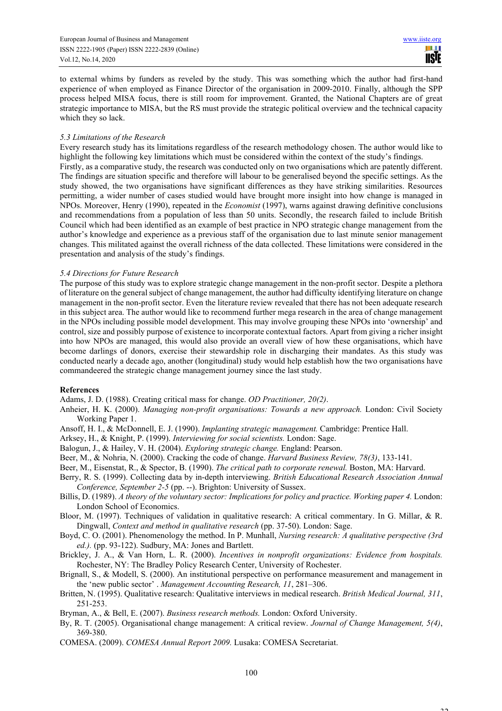$22$ 

to external whims by funders as reveled by the study. This was something which the author had first-hand experience of when employed as Finance Director of the organisation in 2009-2010. Finally, although the SPP process helped MISA focus, there is still room for improvement. Granted, the National Chapters are of great strategic importance to MISA, but the RS must provide the strategic political overview and the technical capacity which they so lack.

#### *5.3 Limitations of the Research*

Every research study has its limitations regardless of the research methodology chosen. The author would like to highlight the following key limitations which must be considered within the context of the study's findings. Firstly, as a comparative study, the research was conducted only on two organisations which are patently different. The findings are situation specific and therefore will labour to be generalised beyond the specific settings. As the study showed, the two organisations have significant differences as they have striking similarities. Resources permitting, a wider number of cases studied would have brought more insight into how change is managed in NPOs. Moreover, Henry (1990), repeated in the *Economist* (1997), warns against drawing definitive conclusions and recommendations from a population of less than 50 units. Secondly, the research failed to include British Council which had been identified as an example of best practice in NPO strategic change management from the author's knowledge and experience as a previous staff of the organisation due to last minute senior management changes. This militated against the overall richness of the data collected. These limitations were considered in the presentation and analysis of the study's findings.

#### *5.4 Directions for Future Research*

The purpose of this study was to explore strategic change management in the non-profit sector. Despite a plethora of literature on the general subject of change management, the author had difficulty identifying literature on change management in the non-profit sector. Even the literature review revealed that there has not been adequate research in this subject area. The author would like to recommend further mega research in the area of change management in the NPOs including possible model development. This may involve grouping these NPOs into 'ownership' and control, size and possibly purpose of existence to incorporate contextual factors. Apart from giving a richer insight into how NPOs are managed, this would also provide an overall view of how these organisations, which have become darlings of donors, exercise their stewardship role in discharging their mandates. As this study was conducted nearly a decade ago, another (longitudinal) study would help establish how the two organisations have commandeered the strategic change management journey since the last study.

## **References**

Adams, J. D. (1988). Creating critical mass for change. *OD Practitioner, 20(2)*.

- Anheier, H. K. (2000). *Managing non-profit organisations: Towards a new approach.* London: Civil Society Working Paper 1.
- Ansoff, Η. I., & McDonnell, E. J. (1990). *Implanting strategic management.* Cambridge: Prentice Hall.
- Arksey, H., & Knight, P. (1999). *Interviewing for social scientists.* London: Sage.
- Balogun, J., & Hailey, V. H. (2004). *Exploring strategic change.* England: Pearson.
- Beer, M., & Nohria, N. (2000). Cracking the code of change. *Harvard Business Review, 78(3)*, 133-141.
- Beer, M., Eisenstat, R., & Spector, B. (1990). *The critical path to corporate renewal.* Boston, MA: Harvard.
- Berry, R. S. (1999). Collecting data by in-depth interviewing. *British Educational Research Association Annual Conference, September 2-5* (pp. --). Brighton: University of Sussex.
- Billis, D. (1989). *A theory of the voluntary sector: Implications for policy and practice. Working paper 4.* London: London School of Economics.
- Bloor, M. (1997). Techniques of validation in qualitative research: A critical commentary. In G. Millar, & R. Dingwall, *Context and method in qualitative research* (pp. 37-50). London: Sage.
- Boyd, C. O. (2001). Phenomenology the method. In P. Munhall, *Nursing research: A qualitative perspective (3rd ed.).* (pp. 93-122). Sudbury, MA: Jones and Bartlett.
- Brickley, J. A., & Van Horn, L. R. (2000). *Incentives in nonprofit organizations: Evidence from hospitals.* Rochester, NY: The Bradley Policy Research Center, University of Rochester.
- Brignall, S., & Modell, S. (2000). An institutional perspective on performance measurement and management in the 'new public sector' . *Management Accounting Research, 11*, 281–306.
- Britten, N. (1995). Qualitative research: Qualitative interviews in medical research. *British Medical Journal, 311*, 251-253.
- Bryman, A., & Bell, E. (2007). *Business research methods.* London: Oxford University.
- By, R. T. (2005). Organisational change management: A critical review. *Journal of Change Management, 5(4)*, 369-380.
- COMESA. (2009). *COMESA Annual Report 2009.* Lusaka: COMESA Secretariat.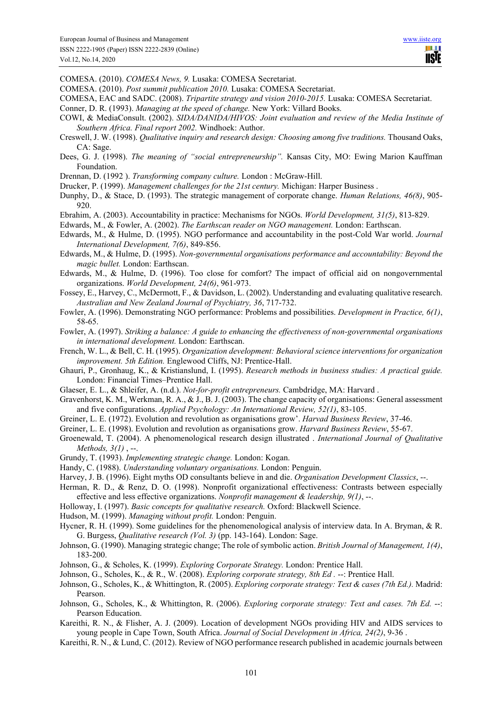TI I **USIE** 

COMESA. (2010). *COMESA News, 9.* Lusaka: COMESA Secretariat.

COMESA. (2010). *Post summit publication 2010.* Lusaka: COMESA Secretariat.

- COMESA, EAC and SADC. (2008). *Tripartite strategy and vision 2010-2015.* Lusaka: COMESA Secretariat.
- Conner, D. R. (1993). *Managing at the speed of change.* New York: Villard Books.
- COWI, & MediaConsult. (2002). *SIDA/DANIDA/HIVOS: Joint evaluation and review of the Media Institute of Southern Africa. Final report 2002.* Windhoek: Author.
- Creswell, J. W. (1998). *Qualitative inquiry and research design: Choosing among five traditions.* Thousand Oaks, CA: Sage.
- Dees, G. J. (1998). *The meaning of "social entrepreneurship".* Kansas City, MO: Ewing Marion Kauffman Foundation.
- Drennan, D. (1992 ). *Transforming company culture.* London : McGraw-Hill.
- Drucker, P. (1999). *Management challenges for the 21st century.* Michigan: Harper Business .
- Dunphy, D., & Stace, D. (1993). The strategic management of corporate change. *Human Relations, 46(8)*, 905- 920.
- Ebrahim, A. (2003). Accountability in practice: Mechanisms for NGOs. *World Development, 31(5)*, 813-829.
- Edwards, M., & Fowler, A. (2002). *The Earthscan reader on NGO management.* London: Earthscan.
- Edwards, M., & Hulme, D. (1995). NGO performance and accountability in the post-Cold War world. *Journal International Development, 7(6)*, 849-856.
- Edwards, M., & Hulme, D. (1995). *Non-governmental organisations performance and accountability: Beyond the magic bullet.* London: Earthscan.
- Edwards, M., & Hulme, D. (1996). Too close for comfort? The impact of official aid on nongovernmental organizations. *World Development, 24(6)*, 961-973.
- Fossey, E., Harvey, C., McDermott, F., & Davidson, L. (2002). Understanding and evaluating qualitative research. *Australian and New Zealand Journal of Psychiatry, 36*, 717-732.
- Fowler, A. (1996). Demonstrating NGO performance: Problems and possibilities. *Development in Practice, 6(1)*, 58-65.
- Fowler, A. (1997). *Striking a balance: A guide to enhancing the effectiveness of non-governmental organisations in international development.* London: Earthscan.
- French, W. L., & Bell, C. H. (1995). *Organization development: Behavioral science interventions for organization improvement. 5th Edition.* Englewood Cliffs, NJ: Prentice-Hall.
- Ghauri, P., Gronhaug, K., & Kristianslund, I. (1995). *Research methods in business studies: A practical guide.* London: Financial Times–Prentice Hall.
- Glaeser, E. L., & Shleifer, A. (n.d.). *Not-for-profit entrepreneurs.* Cambdridge, MA: Harvard .
- Gravenhorst, K. M., Werkman, R. A., & J., B. J. (2003). The change capacity of organisations: General assessment and five configurations. *Applied Psychology: An International Review, 52(1)*, 83-105.
- Greiner, L. E. (1972). Evolution and revolution as organisations grow'. *Harvad Business Review*, 37-46.
- Greiner, L. E. (1998). Evolution and revolution as organisations grow. *Harvard Business Review*, 55-67.
- Groenewald, T. (2004). A phenomenological research design illustrated . *International Journal of Qualitative Methods, 3(1)* , --.
- Grundy, T. (1993). *Implementing strategic change.* London: Kogan.
- Handy, C. (1988). *Understanding voluntary organisations.* London: Penguin.
- Harvey, J. B. (1996). Eight myths OD consultants believe in and die. *Organisation Development Classics*, --.
- Herman, R. D., & Renz, D. O. (1998). Nonprofit organizational effectiveness: Contrasts between especially effective and less effective organizations. *Nonprofit management & leadership, 9(1)*, --.
- Holloway, I. (1997). *Basic concepts for qualitative research.* Oxford: Blackwell Science.
- Hudson, M. (1999). *Managing without profit.* London: Penguin.
- Hycner, R. H. (1999). Some guidelines for the phenomenological analysis of interview data. In A. Bryman, & R. G. Burgess, *Qualitative research (Vol. 3)* (pp. 143-164). London: Sage.
- Johnson, G. (1990). Managing strategic change; The role of symbolic action. *British Journal of Management, 1(4)*, 183-200.
- Johnson, G., & Scholes, K. (1999). *Exploring Corporate Strategy.* London: Prentice Hall.
- Johnson, G., Scholes, K., & R., W. (2008). *Exploring corporate strategy, 8th Ed .* --: Prentice Hall.
- Johnson, G., Scholes, K., & Whittington, R. (2005). *Exploring corporate strategy: Text & cases (7th Ed.).* Madrid: Pearson.
- Johnson, G., Scholes, K., & Whittington, R. (2006). *Exploring corporate strategy: Text and cases. 7th Ed.* --: Pearson Education.
- Kareithi, R. N., & Flisher, A. J. (2009). Location of development NGOs providing HIV and AIDS services to young people in Cape Town, South Africa. *Journal of Social Development in Africa, 24(2)*, 9-36 .
- Kareithi, R. N., & Lund, C. (2012). Review of NGO performance research published in academic journals between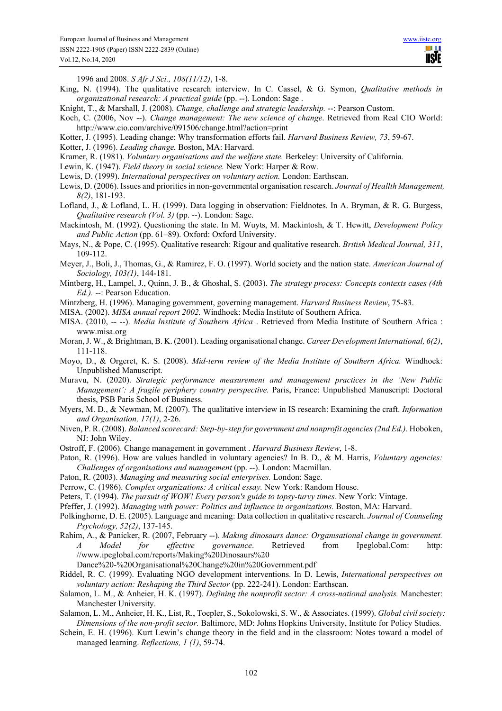**TILL USIE** 

1996 and 2008. *S Afr J Sci., 108(11/12)*, 1-8.

- King, N. (1994). The qualitative research interview. In C. Cassel, & G. Symon, *Qualitative methods in organizational research: A practical guide* (pp. --). London: Sage .
- Knight, T., & Marshall, J. (2008). *Change, challenge and strategic leadership.* --: Pearson Custom.
- Koch, C. (2006, Nov --). *Change management: The new science of change*. Retrieved from Real CIO World: http://www.cio.com/archive/091506/change.html?action=print
- Kotter, J. (1995). Leading change: Why transformation efforts fail. *Harvard Business Review, 73*, 59-67.
- Kotter, J. (1996). *Leading change.* Boston, MA: Harvard.
- Kramer, R. (1981). *Voluntary organisations and the welfare state.* Berkeley: University of California.
- Lewin, K. (1947). *Field theory in social science.* New York: Harper & Row.
- Lewis, D. (1999). *International perspectives on voluntary action.* London: Earthscan.
- Lewis, D. (2006). Issues and priorities in non-governmental organisation research. *Journal of Heallth Management, 8(2)*, 181-193.
- Lofland, J., & Lofland, L. H. (1999). Data logging in observation: Fieldnotes. In A. Bryman, & R. G. Burgess, *Qualitative research (Vol. 3)* (pp. --). London: Sage.
- Mackintosh, M. (1992). Questioning the state. In M. Wuyts, M. Mackintosh, & T. Hewitt, *Development Policy and Public Action* (pp. 61–89). Oxford: Oxford University.
- Mays, N., & Pope, C. (1995). Qualitative research: Rigour and qualitative research. *British Medical Journal, 311*, 109-112.
- Meyer, J., Boli, J., Thomas, G., & Ramirez, F. O. (1997). World society and the nation state. *American Journal of Sociology, 103(1)*, 144-181.
- Mintberg, H., Lampel, J., Quinn, J. B., & Ghoshal, S. (2003). *The strategy process: Concepts contexts cases (4th Ed.).* --: Pearson Education.
- Mintzberg, H. (1996). Managing government, governing management. *Harvard Business Review*, 75-83.
- MISA. (2002). *MISA annual report 2002.* Windhoek: Media Institute of Southern Africa.
- MISA. (2010, -- --). *Media Institute of Southern Africa* . Retrieved from Media Institute of Southern Africa : www.misa.org
- Moran, J. W., & Brightman, B. K. (2001). Leading organisational change. *Career Development International, 6(2)*, 111-118.
- Moyo, D., & Orgeret, K. S. (2008). *Mid-term review of the Media Institute of Southern Africa.* Windhoek: Unpublished Manuscript.
- Muravu, N. (2020). *Strategic performance measurement and management practices in the 'New Public Management': A fragile periphery country perspective.* Paris, France: Unpublished Manuscript: Doctoral thesis, PSB Paris School of Business.
- Myers, M. D., & Newman, M. (2007). The qualitative interview in IS research: Examining the craft. *Information and Organisation, 17(1)*, 2-26.
- Niven, P. R. (2008). *Balanced scorecard: Step-by-step for government and nonprofit agencies (2nd Ed.).* Hoboken, NJ: John Wiley.
- Ostroff, F. (2006). Change management in government . *Harvard Business Review*, 1-8.
- Paton, R. (1996). How are values handled in voluntary agencies? In B. D., & M. Harris, *Voluntary agencies: Challenges of organisations and management* (pp. --). London: Macmillan.
- Paton, R. (2003). *Managing and measuring social enterprises.* London: Sage.
- Perrow, C. (1986). *Complex organizations: A critical essay.* New York: Random House.
- Peters, T. (1994). *The pursuit of WOW! Every person's guide to topsy-turvy times.* New York: Vintage.
- Pfeffer, J. (1992). *Managing with power: Politics and influence in organizations.* Boston, MA: Harvard.
- Polkinghorne, D. E. (2005). Language and meaning: Data collection in qualitative research. *Journal of Counseling Psychology, 52(2)*, 137-145.
- Rahim, A., & Panicker, R. (2007, February --). *Making dinosaurs dance: Organisational change in government. A Model for effective governance*. Retrieved from Ipeglobal.Com: http: //www.ipeglobal.com/reports/Making%20Dinosaurs%20

Dance%20-%20Organisational%20Change%20in%20Government.pdf

- Riddel, R. C. (1999). Evaluating NGO development interventions. In D. Lewis, *International perspectives on voluntary action: Reshaping the Third Sector* (pp. 222-241). London: Earthscan.
- Salamon, L. M., & Anheier, H. K. (1997). *Defining the nonprofit sector: A cross-national analysis.* Manchester: Manchester University.
- Salamon, L. M., Anheier, H. K., List, R., Toepler, S., Sokolowski, S. W., & Associates. (1999). *Global civil society: Dimensions of the non-profit sector.* Baltimore, MD: Johns Hopkins University, Institute for Policy Studies.
- Schein, E. H. (1996). Kurt Lewin's change theory in the field and in the classroom: Notes toward a model of managed learning. *Reflections, 1 (1)*, 59-74.